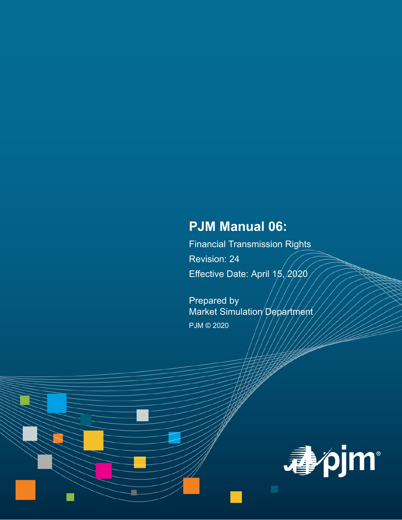# **PJM Manual 06:**

Financial Transmission Rights Revision: 24 Effective Date: April  $15,2020$ 

Prepared by Market Simulation Department PJM © 2020

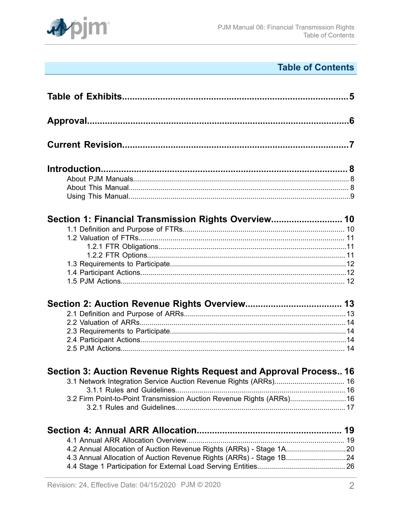

# **Table of Contents**

| Section 1: Financial Transmission Rights Overview 10                  |  |
|-----------------------------------------------------------------------|--|
|                                                                       |  |
|                                                                       |  |
|                                                                       |  |
|                                                                       |  |
|                                                                       |  |
|                                                                       |  |
|                                                                       |  |
|                                                                       |  |
|                                                                       |  |
|                                                                       |  |
|                                                                       |  |
|                                                                       |  |
|                                                                       |  |
| Section 3: Auction Revenue Rights Request and Approval Process 16     |  |
| 3.1 Network Integration Service Auction Revenue Rights (ARRs) 16      |  |
|                                                                       |  |
| 3.2 Firm Point-to-Point Transmission Auction Revenue Rights (ARRs) 16 |  |
|                                                                       |  |
|                                                                       |  |
|                                                                       |  |
| 4.2 Annual Allocation of Auction Revenue Rights (ARRs) - Stage 1A20   |  |
| 4.3 Annual Allocation of Auction Revenue Rights (ARRs) - Stage 1B24   |  |
|                                                                       |  |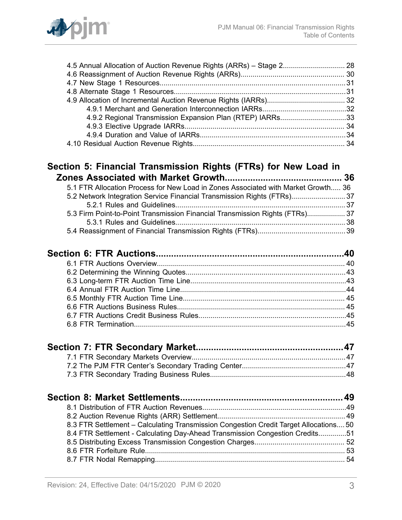

| 4.5 Annual Allocation of Auction Revenue Rights (ARRs) - Stage 2 28                   |  |
|---------------------------------------------------------------------------------------|--|
|                                                                                       |  |
|                                                                                       |  |
|                                                                                       |  |
|                                                                                       |  |
|                                                                                       |  |
| 4.9.2 Regional Transmission Expansion Plan (RTEP) IARRs33                             |  |
|                                                                                       |  |
|                                                                                       |  |
|                                                                                       |  |
|                                                                                       |  |
| Section 5: Financial Transmission Rights (FTRs) for New Load in                       |  |
|                                                                                       |  |
| 5.1 FTR Allocation Process for New Load in Zones Associated with Market Growth 36     |  |
| 5.2 Network Integration Service Financial Transmission Rights (FTRs)37                |  |
|                                                                                       |  |
| 5.3 Firm Point-to-Point Transmission Financial Transmission Rights (FTRs) 37          |  |
|                                                                                       |  |
|                                                                                       |  |
|                                                                                       |  |
|                                                                                       |  |
|                                                                                       |  |
|                                                                                       |  |
|                                                                                       |  |
|                                                                                       |  |
|                                                                                       |  |
|                                                                                       |  |
|                                                                                       |  |
|                                                                                       |  |
|                                                                                       |  |
|                                                                                       |  |
|                                                                                       |  |
|                                                                                       |  |
|                                                                                       |  |
|                                                                                       |  |
|                                                                                       |  |
| 8.3 FTR Settlement - Calculating Transmission Congestion Credit Target Allocations 50 |  |
| 8.4 FTR Settlement - Calculating Day-Ahead Transmission Congestion Credits51          |  |
|                                                                                       |  |
|                                                                                       |  |
|                                                                                       |  |
|                                                                                       |  |
|                                                                                       |  |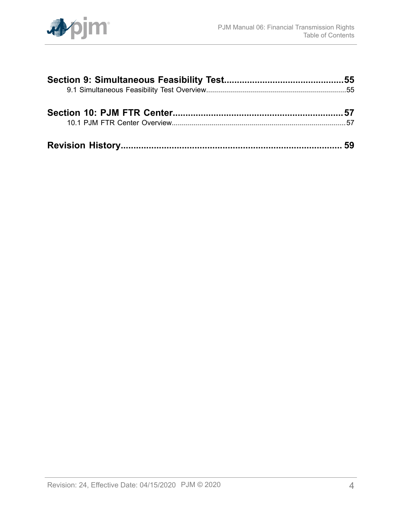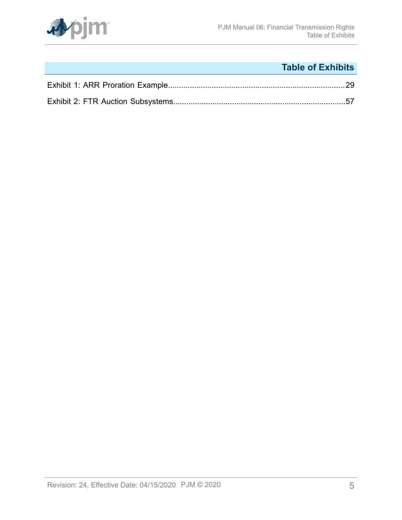

# **Table of Exhibits**

<span id="page-4-0"></span>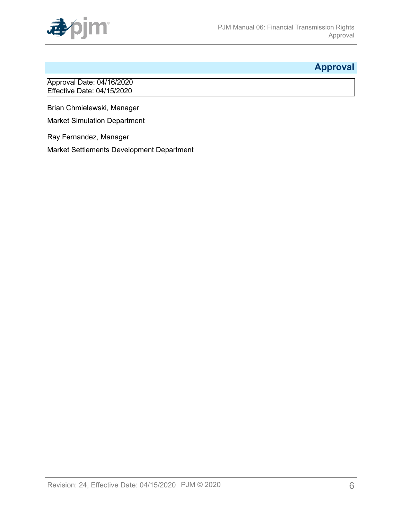

## <span id="page-5-0"></span>**Approval**

Approval Date: 04/16/2020 Effective Date: 04/15/2020

Brian Chmielewski, Manager

Market Simulation Department

Ray Fernandez, Manager

Market Settlements Development Department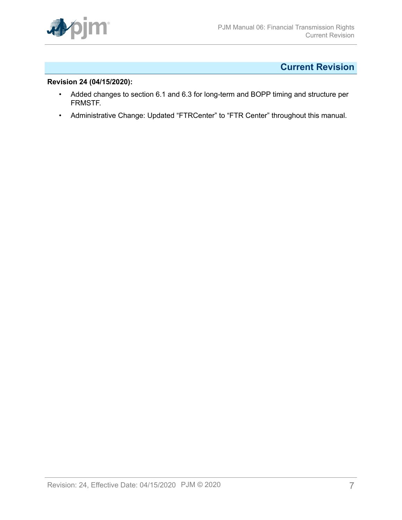

## <span id="page-6-0"></span>**Current Revision**

### **Revision 24 (04/15/2020):**

- Added changes to section 6.1 and 6.3 for long-term and BOPP timing and structure per FRMSTF.
- Administrative Change: Updated "FTRCenter" to "FTR Center" throughout this manual.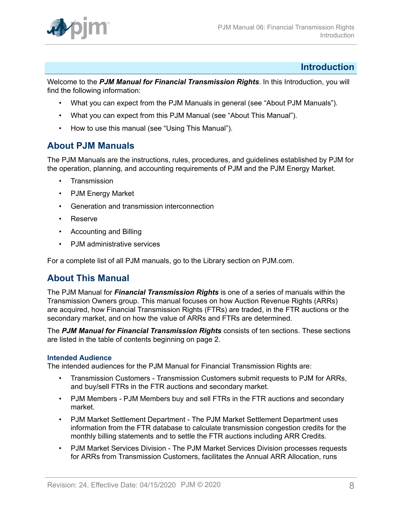

### <span id="page-7-0"></span>**Introduction**

Welcome to the *PJM Manual for Financial Transmission Rights*. In this Introduction, you will find the following information:

- What you can expect from the PJM Manuals in general (see "About PJM Manuals").
- What you can expect from this PJM Manual (see "About This Manual").
- How to use this manual (see "Using This Manual").

### <span id="page-7-1"></span>**About PJM Manuals**

The PJM Manuals are the instructions, rules, procedures, and guidelines established by PJM for the operation, planning, and accounting requirements of PJM and the PJM Energy Market.

- **Transmission**
- PJM Energy Market
- Generation and transmission interconnection
- Reserve
- Accounting and Billing
- PJM administrative services

For a complete list of all PJM manuals, go to the Library section on PJM.com.

### <span id="page-7-2"></span>**About This Manual**

The PJM Manual for *Financial Transmission Rights* is one of a series of manuals within the Transmission Owners group. This manual focuses on how Auction Revenue Rights (ARRs) are acquired, how Financial Transmission Rights (FTRs) are traded, in the FTR auctions or the secondary market, and on how the value of ARRs and FTRs are determined.

The *PJM Manual for Financial Transmission Rights* consists of ten sections. These sections are listed in the table of contents beginning on page 2.

#### **Intended Audience**

The intended audiences for the PJM Manual for Financial Transmission Rights are:

- Transmission Customers Transmission Customers submit requests to PJM for ARRs, and buy/sell FTRs in the FTR auctions and secondary market.
- PJM Members PJM Members buy and sell FTRs in the FTR auctions and secondary market.
- PJM Market Settlement Department The PJM Market Settlement Department uses information from the FTR database to calculate transmission congestion credits for the monthly billing statements and to settle the FTR auctions including ARR Credits.
- PJM Market Services Division The PJM Market Services Division processes requests for ARRs from Transmission Customers, facilitates the Annual ARR Allocation, runs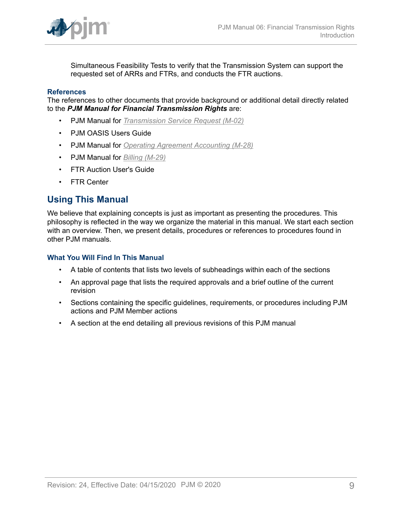

Simultaneous Feasibility Tests to verify that the Transmission System can support the requested set of ARRs and FTRs, and conducts the FTR auctions.

#### **References**

The references to other documents that provide background or additional detail directly related to the *PJM Manual for Financial Transmission Rights* are:

- PJM Manual for *[Transmission](http://www.pjm.com/~/media/documents/manuals/m02.ashx) Service Request (M-02)*
- PJM OASIS Users Guide
- PJM Manual for *[Operating Agreement Accounting \(M-28\)](http://www.pjm.com/~/media/documents/manuals/m28.ashx)*
- PJM Manual for *[Billing \(M-29\)](http://www.pjm.com/~/media/documents/manuals/m29.ashx)*
- FTR Auction User's Guide
- FTR Center

### <span id="page-8-0"></span>**Using This Manual**

We believe that explaining concepts is just as important as presenting the procedures. This philosophy is reflected in the way we organize the material in this manual. We start each section with an overview. Then, we present details, procedures or references to procedures found in other PJM manuals.

#### **What You Will Find In This Manual**

- A table of contents that lists two levels of subheadings within each of the sections
- An approval page that lists the required approvals and a brief outline of the current revision
- Sections containing the specific guidelines, requirements, or procedures including PJM actions and PJM Member actions
- A section at the end detailing all previous revisions of this PJM manual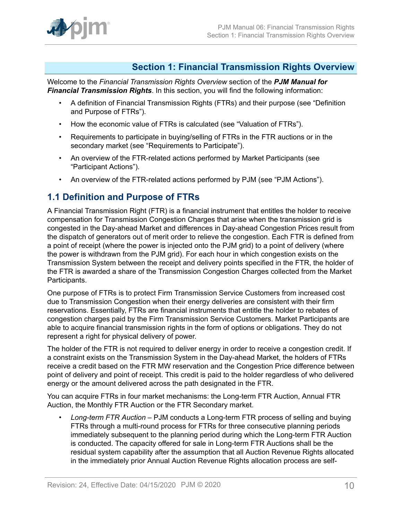

### <span id="page-9-0"></span>**Section 1: Financial Transmission Rights Overview**

Welcome to the *Financial Transmission Rights Overview* section of the *PJM Manual for Financial Transmission Rights*. In this section, you will find the following information:

- A definition of Financial Transmission Rights (FTRs) and their purpose (see "Definition and Purpose of FTRs").
- How the economic value of FTRs is calculated (see "Valuation of FTRs").
- Requirements to participate in buying/selling of FTRs in the FTR auctions or in the secondary market (see "Requirements to Participate").
- An overview of the FTR-related actions performed by Market Participants (see "Participant Actions").
- An overview of the FTR-related actions performed by PJM (see "PJM Actions").

### <span id="page-9-1"></span>**1.1 Definition and Purpose of FTRs**

A Financial Transmission Right (FTR) is a financial instrument that entitles the holder to receive compensation for Transmission Congestion Charges that arise when the transmission grid is congested in the Day-ahead Market and differences in Day-ahead Congestion Prices result from the dispatch of generators out of merit order to relieve the congestion. Each FTR is defined from a point of receipt (where the power is injected onto the PJM grid) to a point of delivery (where the power is withdrawn from the PJM grid). For each hour in which congestion exists on the Transmission System between the receipt and delivery points specified in the FTR, the holder of the FTR is awarded a share of the Transmission Congestion Charges collected from the Market Participants.

One purpose of FTRs is to protect Firm Transmission Service Customers from increased cost due to Transmission Congestion when their energy deliveries are consistent with their firm reservations. Essentially, FTRs are financial instruments that entitle the holder to rebates of congestion charges paid by the Firm Transmission Service Customers. Market Participants are able to acquire financial transmission rights in the form of options or obligations. They do not represent a right for physical delivery of power.

The holder of the FTR is not required to deliver energy in order to receive a congestion credit. If a constraint exists on the Transmission System in the Day-ahead Market, the holders of FTRs receive a credit based on the FTR MW reservation and the Congestion Price difference between point of delivery and point of receipt. This credit is paid to the holder regardless of who delivered energy or the amount delivered across the path designated in the FTR.

You can acquire FTRs in four market mechanisms: the Long-term FTR Auction, Annual FTR Auction, the Monthly FTR Auction or the FTR Secondary market.

• *Long-term FTR Auction* – PJM conducts a Long-term FTR process of selling and buying FTRs through a multi-round process for FTRs for three consecutive planning periods immediately subsequent to the planning period during which the Long-term FTR Auction is conducted. The capacity offered for sale in Long-term FTR Auctions shall be the residual system capability after the assumption that all Auction Revenue Rights allocated in the immediately prior Annual Auction Revenue Rights allocation process are self-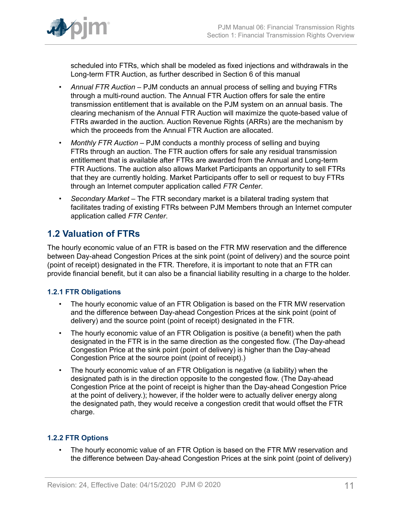

scheduled into FTRs, which shall be modeled as fixed injections and withdrawals in the Long-term FTR Auction, as further described in Section 6 of this manual

- *Annual FTR Auction –* PJM conducts an annual process of selling and buying FTRs through a multi-round auction. The Annual FTR Auction offers for sale the entire transmission entitlement that is available on the PJM system on an annual basis. The clearing mechanism of the Annual FTR Auction will maximize the quote-based value of FTRs awarded in the auction. Auction Revenue Rights (ARRs) are the mechanism by which the proceeds from the Annual FTR Auction are allocated.
- *Monthly FTR Auction –* PJM conducts a monthly process of selling and buying FTRs through an auction. The FTR auction offers for sale any residual transmission entitlement that is available after FTRs are awarded from the Annual and Long-term FTR Auctions. The auction also allows Market Participants an opportunity to sell FTRs that they are currently holding. Market Participants offer to sell or request to buy FTRs through an Internet computer application called *FTR Center*.
- *Secondary Market –* The FTR secondary market is a bilateral trading system that facilitates trading of existing FTRs between PJM Members through an Internet computer application called *FTR Center*.

## <span id="page-10-0"></span>**1.2 Valuation of FTRs**

The hourly economic value of an FTR is based on the FTR MW reservation and the difference between Day-ahead Congestion Prices at the sink point (point of delivery) and the source point (point of receipt) designated in the FTR. Therefore, it is important to note that an FTR can provide financial benefit, but it can also be a financial liability resulting in a charge to the holder.

### <span id="page-10-1"></span>**1.2.1 FTR Obligations**

- The hourly economic value of an FTR Obligation is based on the FTR MW reservation and the difference between Day-ahead Congestion Prices at the sink point (point of delivery) and the source point (point of receipt) designated in the FTR.
- The hourly economic value of an FTR Obligation is positive (a benefit) when the path designated in the FTR is in the same direction as the congested flow. (The Day-ahead Congestion Price at the sink point (point of delivery) is higher than the Day-ahead Congestion Price at the source point (point of receipt).)
- The hourly economic value of an FTR Obligation is negative (a liability) when the designated path is in the direction opposite to the congested flow. (The Day-ahead Congestion Price at the point of receipt is higher than the Day-ahead Congestion Price at the point of delivery.); however, if the holder were to actually deliver energy along the designated path, they would receive a congestion credit that would offset the FTR charge.

### <span id="page-10-2"></span>**1.2.2 FTR Options**

The hourly economic value of an FTR Option is based on the FTR MW reservation and the difference between Day-ahead Congestion Prices at the sink point (point of delivery)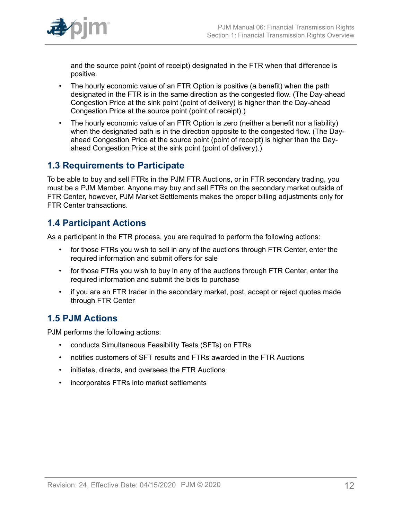

and the source point (point of receipt) designated in the FTR when that difference is positive.

- The hourly economic value of an FTR Option is positive (a benefit) when the path designated in the FTR is in the same direction as the congested flow. (The Day-ahead Congestion Price at the sink point (point of delivery) is higher than the Day-ahead Congestion Price at the source point (point of receipt).)
- The hourly economic value of an FTR Option is zero (neither a benefit nor a liability) when the designated path is in the direction opposite to the congested flow. (The Dayahead Congestion Price at the source point (point of receipt) is higher than the Dayahead Congestion Price at the sink point (point of delivery).)

## <span id="page-11-0"></span>**1.3 Requirements to Participate**

To be able to buy and sell FTRs in the PJM FTR Auctions, or in FTR secondary trading, you must be a PJM Member. Anyone may buy and sell FTRs on the secondary market outside of FTR Center, however, PJM Market Settlements makes the proper billing adjustments only for FTR Center transactions.

## <span id="page-11-1"></span>**1.4 Participant Actions**

As a participant in the FTR process, you are required to perform the following actions:

- for those FTRs you wish to sell in any of the auctions through FTR Center, enter the required information and submit offers for sale
- for those FTRs you wish to buy in any of the auctions through FTR Center, enter the required information and submit the bids to purchase
- if you are an FTR trader in the secondary market, post, accept or reject quotes made through FTR Center

## <span id="page-11-2"></span>**1.5 PJM Actions**

PJM performs the following actions:

- conducts Simultaneous Feasibility Tests (SFTs) on FTRs
- notifies customers of SFT results and FTRs awarded in the FTR Auctions
- initiates, directs, and oversees the FTR Auctions
- incorporates FTRs into market settlements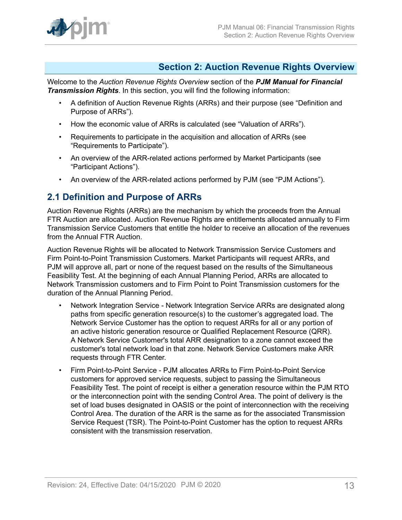

## <span id="page-12-0"></span>**Section 2: Auction Revenue Rights Overview**

Welcome to the *Auction Revenue Rights Overview* section of the *PJM Manual for Financial Transmission Rights*. In this section, you will find the following information:

- A definition of Auction Revenue Rights (ARRs) and their purpose (see "Definition and Purpose of ARRs").
- How the economic value of ARRs is calculated (see "Valuation of ARRs").
- Requirements to participate in the acquisition and allocation of ARRs (see "Requirements to Participate").
- An overview of the ARR-related actions performed by Market Participants (see "Participant Actions").
- An overview of the ARR-related actions performed by PJM (see "PJM Actions").

### <span id="page-12-1"></span>**2.1 Definition and Purpose of ARRs**

Auction Revenue Rights (ARRs) are the mechanism by which the proceeds from the Annual FTR Auction are allocated. Auction Revenue Rights are entitlements allocated annually to Firm Transmission Service Customers that entitle the holder to receive an allocation of the revenues from the Annual FTR Auction.

Auction Revenue Rights will be allocated to Network Transmission Service Customers and Firm Point-to-Point Transmission Customers. Market Participants will request ARRs, and PJM will approve all, part or none of the request based on the results of the Simultaneous Feasibility Test. At the beginning of each Annual Planning Period, ARRs are allocated to Network Transmission customers and to Firm Point to Point Transmission customers for the duration of the Annual Planning Period.

- Network Integration Service Network Integration Service ARRs are designated along paths from specific generation resource(s) to the customer's aggregated load. The Network Service Customer has the option to request ARRs for all or any portion of an active historic generation resource or Qualified Replacement Resource (QRR). A Network Service Customer's total ARR designation to a zone cannot exceed the customer's total network load in that zone. Network Service Customers make ARR requests through FTR Center.
- Firm Point-to-Point Service PJM allocates ARRs to Firm Point-to-Point Service customers for approved service requests, subject to passing the Simultaneous Feasibility Test. The point of receipt is either a generation resource within the PJM RTO or the interconnection point with the sending Control Area. The point of delivery is the set of load buses designated in OASIS or the point of interconnection with the receiving Control Area. The duration of the ARR is the same as for the associated Transmission Service Request (TSR). The Point-to-Point Customer has the option to request ARRs consistent with the transmission reservation.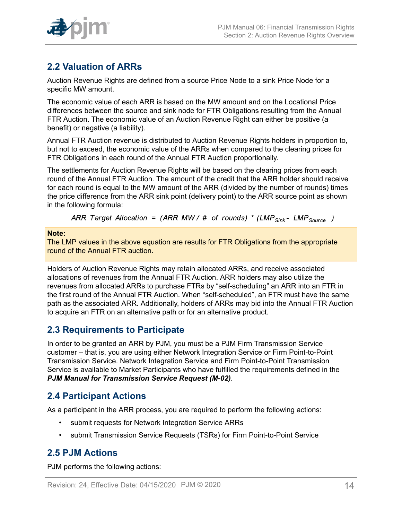

## <span id="page-13-0"></span>**2.2 Valuation of ARRs**

Auction Revenue Rights are defined from a source Price Node to a sink Price Node for a specific MW amount.

The economic value of each ARR is based on the MW amount and on the Locational Price differences between the source and sink node for FTR Obligations resulting from the Annual FTR Auction. The economic value of an Auction Revenue Right can either be positive (a benefit) or negative (a liability).

Annual FTR Auction revenue is distributed to Auction Revenue Rights holders in proportion to, but not to exceed, the economic value of the ARRs when compared to the clearing prices for FTR Obligations in each round of the Annual FTR Auction proportionally.

The settlements for Auction Revenue Rights will be based on the clearing prices from each round of the Annual FTR Auction. The amount of the credit that the ARR holder should receive for each round is equal to the MW amount of the ARR (divided by the number of rounds) times the price difference from the ARR sink point (delivery point) to the ARR source point as shown in the following formula:

ARR Target Allocation = (ARR MW/ # of rounds) \* (LMP<sub>Sink</sub> - LMP<sub>Source</sub>)

#### **Note:**

The LMP values in the above equation are results for FTR Obligations from the appropriate round of the Annual FTR auction.

Holders of Auction Revenue Rights may retain allocated ARRs, and receive associated allocations of revenues from the Annual FTR Auction. ARR holders may also utilize the revenues from allocated ARRs to purchase FTRs by "self-scheduling" an ARR into an FTR in the first round of the Annual FTR Auction. When "self-scheduled", an FTR must have the same path as the associated ARR. Additionally, holders of ARRs may bid into the Annual FTR Auction to acquire an FTR on an alternative path or for an alternative product.

### <span id="page-13-1"></span>**2.3 Requirements to Participate**

In order to be granted an ARR by PJM, you must be a PJM Firm Transmission Service customer – that is, you are using either Network Integration Service or Firm Point-to-Point Transmission Service. Network Integration Service and Firm Point-to-Point Transmission Service is available to Market Participants who have fulfilled the requirements defined in the *PJM Manual for Transmission Service Request (M-02)*.

## <span id="page-13-2"></span>**2.4 Participant Actions**

As a participant in the ARR process, you are required to perform the following actions:

- submit requests for Network Integration Service ARRs
- submit Transmission Service Requests (TSRs) for Firm Point-to-Point Service

## <span id="page-13-3"></span>**2.5 PJM Actions**

PJM performs the following actions: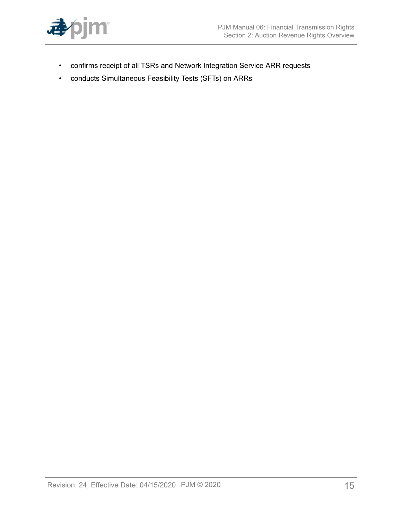

- confirms receipt of all TSRs and Network Integration Service ARR requests
- conducts Simultaneous Feasibility Tests (SFTs) on ARRs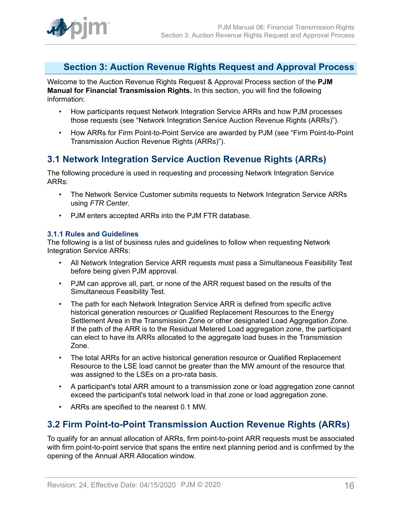

## <span id="page-15-0"></span>**Section 3: Auction Revenue Rights Request and Approval Process**

Welcome to the Auction Revenue Rights Request & Approval Process section of the **PJM Manual for Financial Transmission Rights.** In this section, you will find the following information:

- How participants request Network Integration Service ARRs and how PJM processes those requests (see "Network Integration Service Auction Revenue Rights (ARRs)").
- How ARRs for Firm Point-to-Point Service are awarded by PJM (see "Firm Point-to-Point Transmission Auction Revenue Rights (ARRs)").

## <span id="page-15-1"></span>**3.1 Network Integration Service Auction Revenue Rights (ARRs)**

The following procedure is used in requesting and processing Network Integration Service ARRs:

- The Network Service Customer submits requests to Network Integration Service ARRs using *FTR Center*.
- PJM enters accepted ARRs into the PJM FTR database.

### <span id="page-15-2"></span>**3.1.1 Rules and Guidelines**

The following is a list of business rules and guidelines to follow when requesting Network Integration Service ARRs:

- All Network Integration Service ARR requests must pass a Simultaneous Feasibility Test before being given PJM approval.
- PJM can approve all, part, or none of the ARR request based on the results of the Simultaneous Feasibility Test.
- The path for each Network Integration Service ARR is defined from specific active historical generation resources or Qualified Replacement Resources to the Energy Settlement Area in the Transmission Zone or other designated Load Aggregation Zone. If the path of the ARR is to the Residual Metered Load aggregation zone, the participant can elect to have its ARRs allocated to the aggregate load buses in the Transmission Zone.
- The total ARRs for an active historical generation resource or Qualified Replacement Resource to the LSE load cannot be greater than the MW amount of the resource that was assigned to the LSEs on a pro-rata basis.
- A participant's total ARR amount to a transmission zone or load aggregation zone cannot exceed the participant's total network load in that zone or load aggregation zone.
- ARRs are specified to the nearest 0.1 MW.

### <span id="page-15-3"></span>**3.2 Firm Point-to-Point Transmission Auction Revenue Rights (ARRs)**

To qualify for an annual allocation of ARRs, firm point-to-point ARR requests must be associated with firm point-to-point service that spans the entire next planning period and is confirmed by the opening of the Annual ARR Allocation window.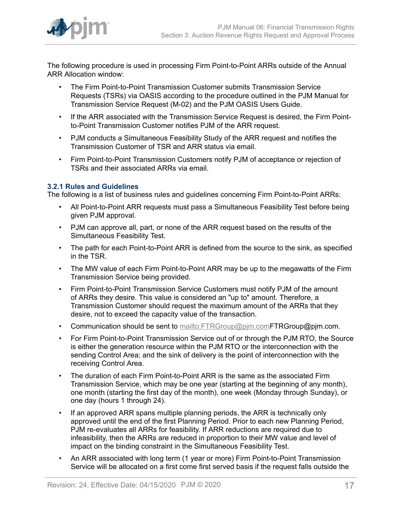

The following procedure is used in processing Firm Point-to-Point ARRs outside of the Annual ARR Allocation window:

- The Firm Point-to-Point Transmission Customer submits Transmission Service Requests (TSRs) via OASIS according to the procedure outlined in the PJM Manual for Transmission Service Request (M-02) and the PJM OASIS Users Guide.
- If the ARR associated with the Transmission Service Request is desired, the Firm Pointto-Point Transmission Customer notifies PJM of the ARR request.
- PJM conducts a Simultaneous Feasibility Study of the ARR request and notifies the Transmission Customer of TSR and ARR status via email.
- Firm Point-to-Point Transmission Customers notify PJM of acceptance or rejection of TSRs and their associated ARRs via email.

### <span id="page-16-0"></span>**3.2.1 Rules and Guidelines**

The following is a list of business rules and guidelines concerning Firm Point-to-Point ARRs:

- All Point-to-Point ARR requests must pass a Simultaneous Feasibility Test before being given PJM approval.
- PJM can approve all, part, or none of the ARR request based on the results of the Simultaneous Feasibility Test.
- The path for each Point-to-Point ARR is defined from the source to the sink, as specified in the TSR.
- The MW value of each Firm Point-to-Point ARR may be up to the megawatts of the Firm Transmission Service being provided.
- Firm Point-to-Point Transmission Service Customers must notify PJM of the amount of ARRs they desire. This value is considered an "up to" amount. Therefore, a Transmission Customer should request the maximum amount of the ARRs that they desire, not to exceed the capacity value of the transaction.
- Communication should be sent to mailto: FTRGroup@pjm.com FTRGroup@pjm.com.
- For Firm Point-to-Point Transmission Service out of or through the PJM RTO, the Source is either the generation resource within the PJM RTO or the interconnection with the sending Control Area; and the sink of delivery is the point of interconnection with the receiving Control Area.
- The duration of each Firm Point-to-Point ARR is the same as the associated Firm Transmission Service, which may be one year (starting at the beginning of any month), one month (starting the first day of the month), one week (Monday through Sunday), or one day (hours 1 through 24).
- If an approved ARR spans multiple planning periods, the ARR is technically only approved until the end of the first Planning Period. Prior to each new Planning Period, PJM re-evaluates all ARRs for feasibility. If ARR reductions are required due to infeasibility, then the ARRs are reduced in proportion to their MW value and level of impact on the binding constraint in the Simultaneous Feasibility Test.
- An ARR associated with long term (1 year or more) Firm Point-to-Point Transmission Service will be allocated on a first come first served basis if the request falls outside the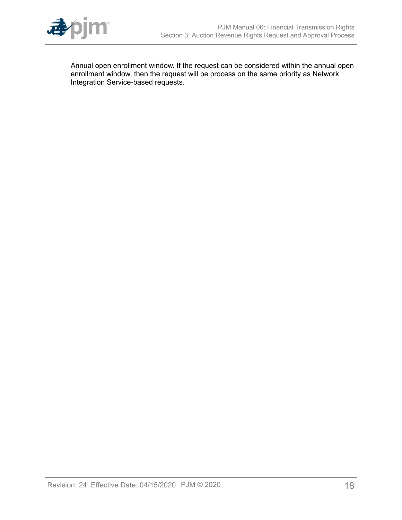

Annual open enrollment window. If the request can be considered within the annual open enrollment window, then the request will be process on the same priority as Network Integration Service-based requests.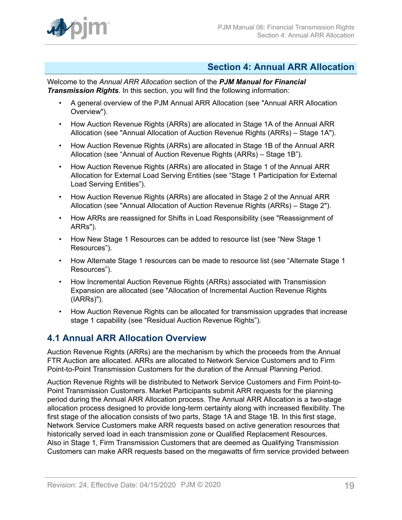

### <span id="page-18-0"></span>**Section 4: Annual ARR Allocation**

Welcome to the *Annual ARR Allocation* section of the *PJM Manual for Financial Transmission Rights*. In this section, you will find the following information:

- A general overview of the PJM Annual ARR Allocation (see "Annual ARR Allocation Overview").
- How Auction Revenue Rights (ARRs) are allocated in Stage 1A of the Annual ARR Allocation (see "Annual Allocation of Auction Revenue Rights (ARRs) – Stage 1A").
- How Auction Revenue Rights (ARRs) are allocated in Stage 1B of the Annual ARR Allocation (see "Annual of Auction Revenue Rights (ARRs) – Stage 1B").
- How Auction Revenue Rights (ARRs) are allocated in Stage 1 of the Annual ARR Allocation for External Load Serving Entities (see "Stage 1 Participation for External Load Serving Entities").
- How Auction Revenue Rights (ARRs) are allocated in Stage 2 of the Annual ARR Allocation (see "Annual Allocation of Auction Revenue Rights (ARRs) – Stage 2").
- How ARRs are reassigned for Shifts in Load Responsibility (see "Reassignment of ARRs").
- How New Stage 1 Resources can be added to resource list (see "New Stage 1 Resources").
- How Alternate Stage 1 resources can be made to resource list (see "Alternate Stage 1 Resources").
- How Incremental Auction Revenue Rights (ARRs) associated with Transmission Expansion are allocated (see "Allocation of Incremental Auction Revenue Rights (IARRs)").
- How Auction Revenue Rights can be allocated for transmission upgrades that increase stage 1 capability (see "Residual Auction Revenue Rights").

## <span id="page-18-1"></span>**4.1 Annual ARR Allocation Overview**

Auction Revenue Rights (ARRs) are the mechanism by which the proceeds from the Annual FTR Auction are allocated. ARRs are allocated to Network Service Customers and to Firm Point-to-Point Transmission Customers for the duration of the Annual Planning Period.

Auction Revenue Rights will be distributed to Network Service Customers and Firm Point-to-Point Transmission Customers. Market Participants submit ARR requests for the planning period during the Annual ARR Allocation process. The Annual ARR Allocation is a two-stage allocation process designed to provide long-term certainty along with increased flexibility. The first stage of the allocation consists of two parts, Stage 1A and Stage 1B. In this first stage, Network Service Customers make ARR requests based on active generation resources that historically served load in each transmission zone or Qualified Replacement Resources. Also in Stage 1, Firm Transmission Customers that are deemed as Qualifying Transmission Customers can make ARR requests based on the megawatts of firm service provided between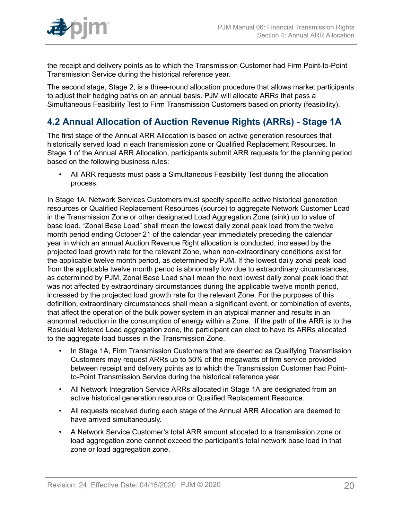

the receipt and delivery points as to which the Transmission Customer had Firm Point-to-Point Transmission Service during the historical reference year.

The second stage, Stage 2, is a three-round allocation procedure that allows market participants to adjust their hedging paths on an annual basis. PJM will allocate ARRs that pass a Simultaneous Feasibility Test to Firm Transmission Customers based on priority (feasibility).

## <span id="page-19-0"></span>**4.2 Annual Allocation of Auction Revenue Rights (ARRs) - Stage 1A**

The first stage of the Annual ARR Allocation is based on active generation resources that historically served load in each transmission zone or Qualified Replacement Resources. In Stage 1 of the Annual ARR Allocation, participants submit ARR requests for the planning period based on the following business rules:

• All ARR requests must pass a Simultaneous Feasibility Test during the allocation process.

In Stage 1A, Network Services Customers must specify specific active historical generation resources or Qualified Replacement Resources (source) to aggregate Network Customer Load in the Transmission Zone or other designated Load Aggregation Zone (sink) up to value of base load. "Zonal Base Load" shall mean the lowest daily zonal peak load from the twelve month period ending October 21 of the calendar year immediately preceding the calendar year in which an annual Auction Revenue Right allocation is conducted, increased by the projected load growth rate for the relevant Zone, when non-extraordinary conditions exist for the applicable twelve month period, as determined by PJM. If the lowest daily zonal peak load from the applicable twelve month period is abnormally low due to extraordinary circumstances, as determined by PJM, Zonal Base Load shall mean the next lowest daily zonal peak load that was not affected by extraordinary circumstances during the applicable twelve month period, increased by the projected load growth rate for the relevant Zone. For the purposes of this definition, extraordinary circumstances shall mean a significant event, or combination of events, that affect the operation of the bulk power system in an atypical manner and results in an abnormal reduction in the consumption of energy within a Zone. If the path of the ARR is to the Residual Metered Load aggregation zone, the participant can elect to have its ARRs allocated to the aggregate load busses in the Transmission Zone.

- In Stage 1A, Firm Transmission Customers that are deemed as Qualifying Transmission Customers may request ARRs up to 50% of the megawatts of firm service provided between receipt and delivery points as to which the Transmission Customer had Pointto-Point Transmission Service during the historical reference year.
- All Network Integration Service ARRs allocated in Stage 1A are designated from an active historical generation resource or Qualified Replacement Resource.
- All requests received during each stage of the Annual ARR Allocation are deemed to have arrived simultaneously.
- A Network Service Customer's total ARR amount allocated to a transmission zone or load aggregation zone cannot exceed the participant's total network base load in that zone or load aggregation zone.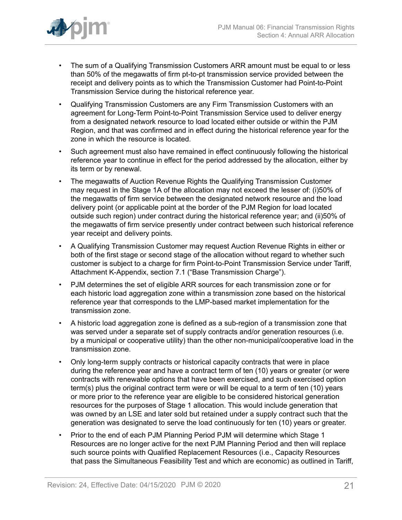

- The sum of a Qualifying Transmission Customers ARR amount must be equal to or less than 50% of the megawatts of firm pt-to-pt transmission service provided between the receipt and delivery points as to which the Transmission Customer had Point-to-Point Transmission Service during the historical reference year.
- Qualifying Transmission Customers are any Firm Transmission Customers with an agreement for Long-Term Point-to-Point Transmission Service used to deliver energy from a designated network resource to load located either outside or within the PJM Region, and that was confirmed and in effect during the historical reference year for the zone in which the resource is located.
- Such agreement must also have remained in effect continuously following the historical reference year to continue in effect for the period addressed by the allocation, either by its term or by renewal.
- The megawatts of Auction Revenue Rights the Qualifying Transmission Customer may request in the Stage 1A of the allocation may not exceed the lesser of: (i)50% of the megawatts of firm service between the designated network resource and the load delivery point (or applicable point at the border of the PJM Region for load located outside such region) under contract during the historical reference year; and (ii)50% of the megawatts of firm service presently under contract between such historical reference year receipt and delivery points.
- A Qualifying Transmission Customer may request Auction Revenue Rights in either or both of the first stage or second stage of the allocation without regard to whether such customer is subject to a charge for firm Point-to-Point Transmission Service under Tariff, Attachment K-Appendix, section 7.1 ("Base Transmission Charge").
- PJM determines the set of eligible ARR sources for each transmission zone or for each historic load aggregation zone within a transmission zone based on the historical reference year that corresponds to the LMP-based market implementation for the transmission zone.
- A historic load aggregation zone is defined as a sub-region of a transmission zone that was served under a separate set of supply contracts and/or generation resources (i.e. by a municipal or cooperative utility) than the other non-municipal/cooperative load in the transmission zone.
- Only long-term supply contracts or historical capacity contracts that were in place during the reference year and have a contract term of ten (10) years or greater (or were contracts with renewable options that have been exercised, and such exercised option term(s) plus the original contract term were or will be equal to a term of ten (10) years or more prior to the reference year are eligible to be considered historical generation resources for the purposes of Stage 1 allocation. This would include generation that was owned by an LSE and later sold but retained under a supply contract such that the generation was designated to serve the load continuously for ten (10) years or greater.
- Prior to the end of each PJM Planning Period PJM will determine which Stage 1 Resources are no longer active for the next PJM Planning Period and then will replace such source points with Qualified Replacement Resources (i.e., Capacity Resources that pass the Simultaneous Feasibility Test and which are economic) as outlined in Tariff,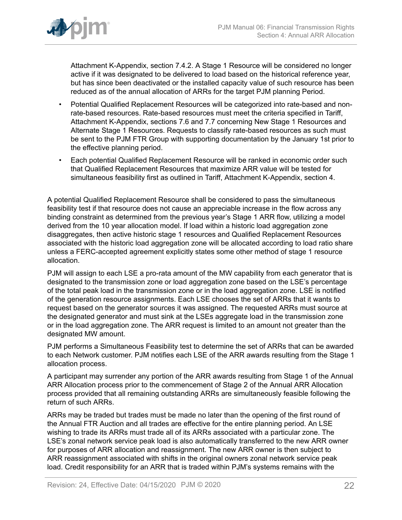

Attachment K-Appendix, section 7.4.2. A Stage 1 Resource will be considered no longer active if it was designated to be delivered to load based on the historical reference year, but has since been deactivated or the installed capacity value of such resource has been reduced as of the annual allocation of ARRs for the target PJM planning Period.

- Potential Qualified Replacement Resources will be categorized into rate-based and nonrate-based resources. Rate-based resources must meet the criteria specified in Tariff, Attachment K-Appendix, sections 7.6 and 7.7 concerning New Stage 1 Resources and Alternate Stage 1 Resources. Requests to classify rate-based resources as such must be sent to the PJM FTR Group with supporting documentation by the January 1st prior to the effective planning period.
- Each potential Qualified Replacement Resource will be ranked in economic order such that Qualified Replacement Resources that maximize ARR value will be tested for simultaneous feasibility first as outlined in Tariff, Attachment K-Appendix, section 4.

A potential Qualified Replacement Resource shall be considered to pass the simultaneous feasibility test if that resource does not cause an appreciable increase in the flow across any binding constraint as determined from the previous year's Stage 1 ARR flow, utilizing a model derived from the 10 year allocation model. If load within a historic load aggregation zone disaggregates, then active historic stage 1 resources and Qualified Replacement Resources associated with the historic load aggregation zone will be allocated according to load ratio share unless a FERC-accepted agreement explicitly states some other method of stage 1 resource allocation.

PJM will assign to each LSE a pro-rata amount of the MW capability from each generator that is designated to the transmission zone or load aggregation zone based on the LSE's percentage of the total peak load in the transmission zone or in the load aggregation zone. LSE is notified of the generation resource assignments. Each LSE chooses the set of ARRs that it wants to request based on the generator sources it was assigned. The requested ARRs must source at the designated generator and must sink at the LSEs aggregate load in the transmission zone or in the load aggregation zone. The ARR request is limited to an amount not greater than the designated MW amount.

PJM performs a Simultaneous Feasibility test to determine the set of ARRs that can be awarded to each Network customer. PJM notifies each LSE of the ARR awards resulting from the Stage 1 allocation process.

A participant may surrender any portion of the ARR awards resulting from Stage 1 of the Annual ARR Allocation process prior to the commencement of Stage 2 of the Annual ARR Allocation process provided that all remaining outstanding ARRs are simultaneously feasible following the return of such ARRs.

ARRs may be traded but trades must be made no later than the opening of the first round of the Annual FTR Auction and all trades are effective for the entire planning period. An LSE wishing to trade its ARRs must trade all of its ARRs associated with a particular zone. The LSE's zonal network service peak load is also automatically transferred to the new ARR owner for purposes of ARR allocation and reassignment. The new ARR owner is then subject to ARR reassignment associated with shifts in the original owners zonal network service peak load. Credit responsibility for an ARR that is traded within PJM's systems remains with the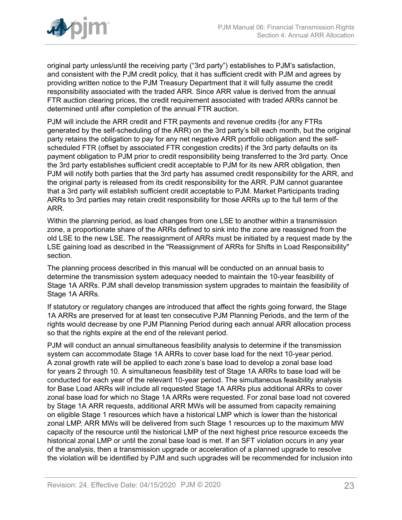

original party unless/until the receiving party ("3rd party") establishes to PJM's satisfaction, and consistent with the PJM credit policy, that it has sufficient credit with PJM and agrees by providing written notice to the PJM Treasury Department that it will fully assume the credit responsibility associated with the traded ARR. Since ARR value is derived from the annual FTR auction clearing prices, the credit requirement associated with traded ARRs cannot be determined until after completion of the annual FTR auction.

PJM will include the ARR credit and FTR payments and revenue credits (for any FTRs generated by the self-scheduling of the ARR) on the 3rd party's bill each month, but the original party retains the obligation to pay for any net negative ARR portfolio obligation and the selfscheduled FTR (offset by associated FTR congestion credits) if the 3rd party defaults on its payment obligation to PJM prior to credit responsibility being transferred to the 3rd party. Once the 3rd party establishes sufficient credit acceptable to PJM for its new ARR obligation, then PJM will notify both parties that the 3rd party has assumed credit responsibility for the ARR, and the original party is released from its credit responsibility for the ARR. PJM cannot guarantee that a 3rd party will establish sufficient credit acceptable to PJM. Market Participants trading ARRs to 3rd parties may retain credit responsibility for those ARRs up to the full term of the ARR.

Within the planning period, as load changes from one LSE to another within a transmission zone, a proportionate share of the ARRs defined to sink into the zone are reassigned from the old LSE to the new LSE. The reassignment of ARRs must be initiated by a request made by the LSE gaining load as described in the "Reassignment of ARRs for Shifts in Load Responsibility" section.

The planning process described in this manual will be conducted on an annual basis to determine the transmission system adequacy needed to maintain the 10-year feasibility of Stage 1A ARRs. PJM shall develop transmission system upgrades to maintain the feasibility of Stage 1A ARRs.

If statutory or regulatory changes are introduced that affect the rights going forward, the Stage 1A ARRs are preserved for at least ten consecutive PJM Planning Periods, and the term of the rights would decrease by one PJM Planning Period during each annual ARR allocation process so that the rights expire at the end of the relevant period.

PJM will conduct an annual simultaneous feasibility analysis to determine if the transmission system can accommodate Stage 1A ARRs to cover base load for the next 10-year period. A zonal growth rate will be applied to each zone's base load to develop a zonal base load for years 2 through 10. A simultaneous feasibility test of Stage 1A ARRs to base load will be conducted for each year of the relevant 10-year period. The simultaneous feasibility analysis for Base Load ARRs will include all requested Stage 1A ARRs plus additional ARRs to cover zonal base load for which no Stage 1A ARRs were requested. For zonal base load not covered by Stage 1A ARR requests, additional ARR MWs will be assumed from capacity remaining on eligible Stage 1 resources which have a historical LMP which is lower than the historical zonal LMP. ARR MWs will be delivered from such Stage 1 resources up to the maximum MW capacity of the resource until the historical LMP of the next highest price resource exceeds the historical zonal LMP or until the zonal base load is met. If an SFT violation occurs in any year of the analysis, then a transmission upgrade or acceleration of a planned upgrade to resolve the violation will be identified by PJM and such upgrades will be recommended for inclusion into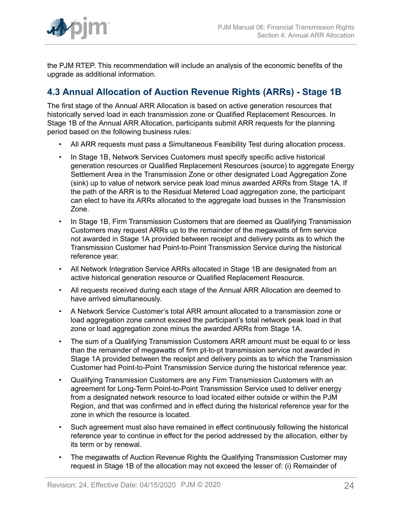

the PJM RTEP. This recommendation will include an analysis of the economic benefits of the upgrade as additional information.

## <span id="page-23-0"></span>**4.3 Annual Allocation of Auction Revenue Rights (ARRs) - Stage 1B**

The first stage of the Annual ARR Allocation is based on active generation resources that historically served load in each transmission zone or Qualified Replacement Resources. In Stage 1B of the Annual ARR Allocation, participants submit ARR requests for the planning period based on the following business rules:

- All ARR requests must pass a Simultaneous Feasibility Test during allocation process.
- In Stage 1B, Network Services Customers must specify specific active historical generation resources or Qualified Replacement Resources (source) to aggregate Energy Settlement Area in the Transmission Zone or other designated Load Aggregation Zone (sink) up to value of network service peak load minus awarded ARRs from Stage 1A. If the path of the ARR is to the Residual Metered Load aggregation zone, the participant can elect to have its ARRs allocated to the aggregate load busses in the Transmission Zone.
- In Stage 1B, Firm Transmission Customers that are deemed as Qualifying Transmission Customers may request ARRs up to the remainder of the megawatts of firm service not awarded in Stage 1A provided between receipt and delivery points as to which the Transmission Customer had Point-to-Point Transmission Service during the historical reference year.
- All Network Integration Service ARRs allocated in Stage 1B are designated from an active historical generation resource or Qualified Replacement Resource.
- All requests received during each stage of the Annual ARR Allocation are deemed to have arrived simultaneously.
- A Network Service Customer's total ARR amount allocated to a transmission zone or load aggregation zone cannot exceed the participant's total network peak load in that zone or load aggregation zone minus the awarded ARRs from Stage 1A.
- The sum of a Qualifying Transmission Customers ARR amount must be equal to or less than the remainder of megawatts of firm pt-to-pt transmission service not awarded in Stage 1A provided between the receipt and delivery points as to which the Transmission Customer had Point-to-Point Transmission Service during the historical reference year.
- Qualifying Transmission Customers are any Firm Transmission Customers with an agreement for Long-Term Point-to-Point Transmission Service used to deliver energy from a designated network resource to load located either outside or within the PJM Region, and that was confirmed and in effect during the historical reference year for the zone in which the resource is located.
- Such agreement must also have remained in effect continuously following the historical reference year to continue in effect for the period addressed by the allocation, either by its term or by renewal.
- The megawatts of Auction Revenue Rights the Qualifying Transmission Customer may request in Stage 1B of the allocation may not exceed the lesser of: (i) Remainder of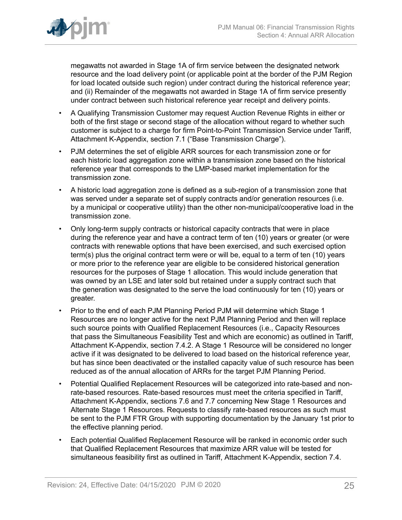

megawatts not awarded in Stage 1A of firm service between the designated network resource and the load delivery point (or applicable point at the border of the PJM Region for load located outside such region) under contract during the historical reference year; and (ii) Remainder of the megawatts not awarded in Stage 1A of firm service presently under contract between such historical reference year receipt and delivery points.

- A Qualifying Transmission Customer may request Auction Revenue Rights in either or both of the first stage or second stage of the allocation without regard to whether such customer is subject to a charge for firm Point-to-Point Transmission Service under Tariff, Attachment K-Appendix, section 7.1 ("Base Transmission Charge").
- PJM determines the set of eligible ARR sources for each transmission zone or for each historic load aggregation zone within a transmission zone based on the historical reference year that corresponds to the LMP-based market implementation for the transmission zone.
- A historic load aggregation zone is defined as a sub-region of a transmission zone that was served under a separate set of supply contracts and/or generation resources (i.e. by a municipal or cooperative utility) than the other non-municipal/cooperative load in the transmission zone.
- Only long-term supply contracts or historical capacity contracts that were in place during the reference year and have a contract term of ten (10) years or greater (or were contracts with renewable options that have been exercised, and such exercised option term(s) plus the original contract term were or will be, equal to a term of ten (10) years or more prior to the reference year are eligible to be considered historical generation resources for the purposes of Stage 1 allocation. This would include generation that was owned by an LSE and later sold but retained under a supply contract such that the generation was designated to the serve the load continuously for ten (10) years or greater.
- Prior to the end of each PJM Planning Period PJM will determine which Stage 1 Resources are no longer active for the next PJM Planning Period and then will replace such source points with Qualified Replacement Resources (i.e., Capacity Resources that pass the Simultaneous Feasibility Test and which are economic) as outlined in Tariff, Attachment K-Appendix, section 7.4.2. A Stage 1 Resource will be considered no longer active if it was designated to be delivered to load based on the historical reference year, but has since been deactivated or the installed capacity value of such resource has been reduced as of the annual allocation of ARRs for the target PJM Planning Period.
- Potential Qualified Replacement Resources will be categorized into rate-based and nonrate-based resources. Rate-based resources must meet the criteria specified in Tariff, Attachment K-Appendix, sections 7.6 and 7.7 concerning New Stage 1 Resources and Alternate Stage 1 Resources. Requests to classify rate-based resources as such must be sent to the PJM FTR Group with supporting documentation by the January 1st prior to the effective planning period.
- Each potential Qualified Replacement Resource will be ranked in economic order such that Qualified Replacement Resources that maximize ARR value will be tested for simultaneous feasibility first as outlined in Tariff, Attachment K-Appendix, section 7.4.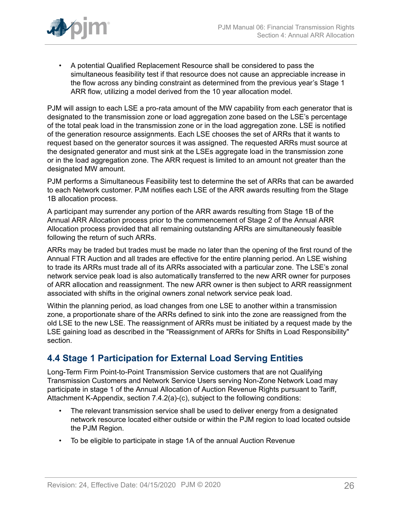

• A potential Qualified Replacement Resource shall be considered to pass the simultaneous feasibility test if that resource does not cause an appreciable increase in the flow across any binding constraint as determined from the previous year's Stage 1 ARR flow, utilizing a model derived from the 10 year allocation model.

PJM will assign to each LSE a pro-rata amount of the MW capability from each generator that is designated to the transmission zone or load aggregation zone based on the LSE's percentage of the total peak load in the transmission zone or in the load aggregation zone. LSE is notified of the generation resource assignments. Each LSE chooses the set of ARRs that it wants to request based on the generator sources it was assigned. The requested ARRs must source at the designated generator and must sink at the LSEs aggregate load in the transmission zone or in the load aggregation zone. The ARR request is limited to an amount not greater than the designated MW amount.

PJM performs a Simultaneous Feasibility test to determine the set of ARRs that can be awarded to each Network customer. PJM notifies each LSE of the ARR awards resulting from the Stage 1B allocation process.

A participant may surrender any portion of the ARR awards resulting from Stage 1B of the Annual ARR Allocation process prior to the commencement of Stage 2 of the Annual ARR Allocation process provided that all remaining outstanding ARRs are simultaneously feasible following the return of such ARRs.

ARRs may be traded but trades must be made no later than the opening of the first round of the Annual FTR Auction and all trades are effective for the entire planning period. An LSE wishing to trade its ARRs must trade all of its ARRs associated with a particular zone. The LSE's zonal network service peak load is also automatically transferred to the new ARR owner for purposes of ARR allocation and reassignment. The new ARR owner is then subject to ARR reassignment associated with shifts in the original owners zonal network service peak load.

Within the planning period, as load changes from one LSE to another within a transmission zone, a proportionate share of the ARRs defined to sink into the zone are reassigned from the old LSE to the new LSE. The reassignment of ARRs must be initiated by a request made by the LSE gaining load as described in the "Reassignment of ARRs for Shifts in Load Responsibility" section.

## <span id="page-25-0"></span>**4.4 Stage 1 Participation for External Load Serving Entities**

Long-Term Firm Point-to-Point Transmission Service customers that are not Qualifying Transmission Customers and Network Service Users serving Non-Zone Network Load may participate in stage 1 of the Annual Allocation of Auction Revenue Rights pursuant to Tariff, Attachment K-Appendix, section 7.4.2(a)-(c), subject to the following conditions:

- The relevant transmission service shall be used to deliver energy from a designated network resource located either outside or within the PJM region to load located outside the PJM Region.
- To be eligible to participate in stage 1A of the annual Auction Revenue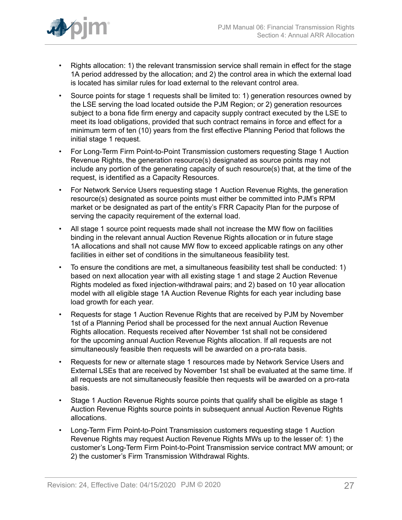

- Rights allocation: 1) the relevant transmission service shall remain in effect for the stage 1A period addressed by the allocation; and 2) the control area in which the external load is located has similar rules for load external to the relevant control area.
- Source points for stage 1 requests shall be limited to: 1) generation resources owned by the LSE serving the load located outside the PJM Region; or 2) generation resources subject to a bona fide firm energy and capacity supply contract executed by the LSE to meet its load obligations, provided that such contract remains in force and effect for a minimum term of ten (10) years from the first effective Planning Period that follows the initial stage 1 request.
- For Long-Term Firm Point-to-Point Transmission customers requesting Stage 1 Auction Revenue Rights, the generation resource(s) designated as source points may not include any portion of the generating capacity of such resource(s) that, at the time of the request, is identified as a Capacity Resources.
- For Network Service Users requesting stage 1 Auction Revenue Rights, the generation resource(s) designated as source points must either be committed into PJM's RPM market or be designated as part of the entity's FRR Capacity Plan for the purpose of serving the capacity requirement of the external load.
- All stage 1 source point requests made shall not increase the MW flow on facilities binding in the relevant annual Auction Revenue Rights allocation or in future stage 1A allocations and shall not cause MW flow to exceed applicable ratings on any other facilities in either set of conditions in the simultaneous feasibility test.
- To ensure the conditions are met, a simultaneous feasibility test shall be conducted: 1) based on next allocation year with all existing stage 1 and stage 2 Auction Revenue Rights modeled as fixed injection-withdrawal pairs; and 2) based on 10 year allocation model with all eligible stage 1A Auction Revenue Rights for each year including base load growth for each year.
- Requests for stage 1 Auction Revenue Rights that are received by PJM by November 1st of a Planning Period shall be processed for the next annual Auction Revenue Rights allocation. Requests received after November 1st shall not be considered for the upcoming annual Auction Revenue Rights allocation. If all requests are not simultaneously feasible then requests will be awarded on a pro-rata basis.
- Requests for new or alternate stage 1 resources made by Network Service Users and External LSEs that are received by November 1st shall be evaluated at the same time. If all requests are not simultaneously feasible then requests will be awarded on a pro-rata basis.
- Stage 1 Auction Revenue Rights source points that qualify shall be eligible as stage 1 Auction Revenue Rights source points in subsequent annual Auction Revenue Rights allocations.
- Long-Term Firm Point-to-Point Transmission customers requesting stage 1 Auction Revenue Rights may request Auction Revenue Rights MWs up to the lesser of: 1) the customer's Long-Term Firm Point-to-Point Transmission service contract MW amount; or 2) the customer's Firm Transmission Withdrawal Rights.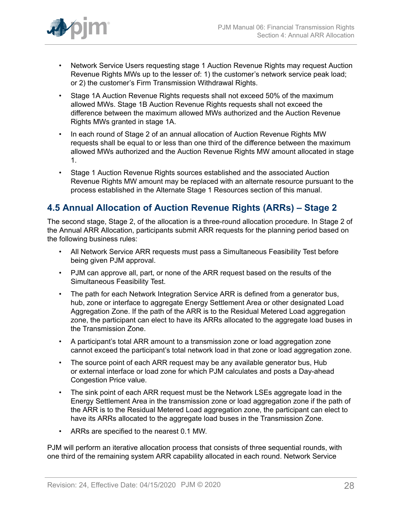

- Network Service Users requesting stage 1 Auction Revenue Rights may request Auction Revenue Rights MWs up to the lesser of: 1) the customer's network service peak load; or 2) the customer's Firm Transmission Withdrawal Rights.
- Stage 1A Auction Revenue Rights requests shall not exceed 50% of the maximum allowed MWs. Stage 1B Auction Revenue Rights requests shall not exceed the difference between the maximum allowed MWs authorized and the Auction Revenue Rights MWs granted in stage 1A.
- In each round of Stage 2 of an annual allocation of Auction Revenue Rights MW requests shall be equal to or less than one third of the difference between the maximum allowed MWs authorized and the Auction Revenue Rights MW amount allocated in stage 1.
- Stage 1 Auction Revenue Rights sources established and the associated Auction Revenue Rights MW amount may be replaced with an alternate resource pursuant to the process established in the Alternate Stage 1 Resources section of this manual.

## <span id="page-27-0"></span>**4.5 Annual Allocation of Auction Revenue Rights (ARRs) – Stage 2**

The second stage, Stage 2, of the allocation is a three-round allocation procedure. In Stage 2 of the Annual ARR Allocation, participants submit ARR requests for the planning period based on the following business rules:

- All Network Service ARR requests must pass a Simultaneous Feasibility Test before being given PJM approval.
- PJM can approve all, part, or none of the ARR request based on the results of the Simultaneous Feasibility Test.
- The path for each Network Integration Service ARR is defined from a generator bus, hub, zone or interface to aggregate Energy Settlement Area or other designated Load Aggregation Zone. If the path of the ARR is to the Residual Metered Load aggregation zone, the participant can elect to have its ARRs allocated to the aggregate load buses in the Transmission Zone.
- A participant's total ARR amount to a transmission zone or load aggregation zone cannot exceed the participant's total network load in that zone or load aggregation zone.
- The source point of each ARR request may be any available generator bus, Hub or external interface or load zone for which PJM calculates and posts a Day-ahead Congestion Price value.
- The sink point of each ARR request must be the Network LSEs aggregate load in the Energy Settlement Area in the transmission zone or load aggregation zone if the path of the ARR is to the Residual Metered Load aggregation zone, the participant can elect to have its ARRs allocated to the aggregate load buses in the Transmission Zone.
- ARRs are specified to the nearest 0.1 MW.

PJM will perform an iterative allocation process that consists of three sequential rounds, with one third of the remaining system ARR capability allocated in each round. Network Service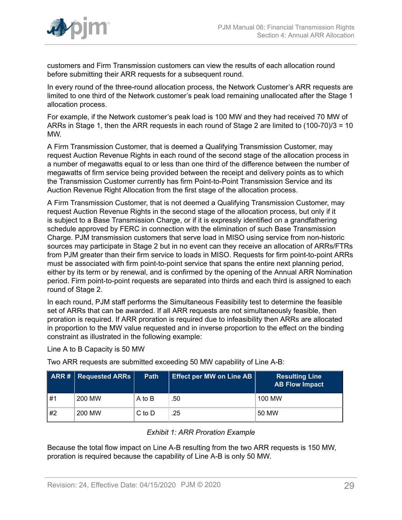

customers and Firm Transmission customers can view the results of each allocation round before submitting their ARR requests for a subsequent round.

In every round of the three-round allocation process, the Network Customer's ARR requests are limited to one third of the Network customer's peak load remaining unallocated after the Stage 1 allocation process.

For example, if the Network customer's peak load is 100 MW and they had received 70 MW of ARRs in Stage 1, then the ARR requests in each round of Stage 2 are limited to (100-70)/3 = 10 MW.

A Firm Transmission Customer, that is deemed a Qualifying Transmission Customer, may request Auction Revenue Rights in each round of the second stage of the allocation process in a number of megawatts equal to or less than one third of the difference between the number of megawatts of firm service being provided between the receipt and delivery points as to which the Transmission Customer currently has firm Point-to-Point Transmission Service and its Auction Revenue Right Allocation from the first stage of the allocation process.

A Firm Transmission Customer, that is not deemed a Qualifying Transmission Customer, may request Auction Revenue Rights in the second stage of the allocation process, but only if it is subject to a Base Transmission Charge, or if it is expressly identified on a grandfathering schedule approved by FERC in connection with the elimination of such Base Transmission Charge. PJM transmission customers that serve load in MISO using service from non-historic sources may participate in Stage 2 but in no event can they receive an allocation of ARRs/FTRs from PJM greater than their firm service to loads in MISO. Requests for firm point-to-point ARRs must be associated with firm point-to-point service that spans the entire next planning period, either by its term or by renewal, and is confirmed by the opening of the Annual ARR Nomination period. Firm point-to-point requests are separated into thirds and each third is assigned to each round of Stage 2.

In each round, PJM staff performs the Simultaneous Feasibility test to determine the feasible set of ARRs that can be awarded. If all ARR requests are not simultaneously feasible, then proration is required. If ARR proration is required due to infeasibility then ARRs are allocated in proportion to the MW value requested and in inverse proportion to the effect on the binding constraint as illustrated in the following example:

Line A to B Capacity is 50 MW

Two ARR requests are submitted exceeding 50 MW capability of Line A-B:

<span id="page-28-0"></span>

|    | ARR #   RequiredARRs | <b>Path</b> | Effect per MW on Line AB | <b>Resulting Line</b><br><b>AB Flow Impact</b> |
|----|----------------------|-------------|--------------------------|------------------------------------------------|
| #1 | 200 MW               | A to B      | .50                      | 100 MW                                         |
| #2 | 200 MW               | $C$ to $D$  | .25                      | 50 MW                                          |

### *Exhibit 1: ARR Proration Example*

Because the total flow impact on Line A-B resulting from the two ARR requests is 150 MW, proration is required because the capability of Line A-B is only 50 MW.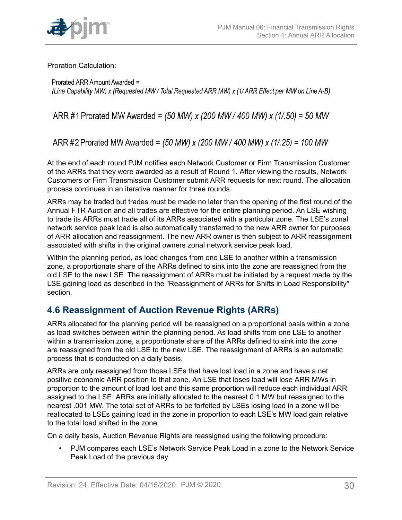

Proration Calculation:

Prorated ARR Amount Awarded = (Line Capability MW) x (Requested MW/Total Requested ARR MW) x (1/ARR Effect per MW on Line A-B)

ARR #1 Prorated MW Awarded = (50 MW) x (200 MW / 400 MW) x (1/.50) = 50 MW

ARR #2 Prorated MW Awarded = (50 MW) x (200 MW / 400 MW) x (1/.25) = 100 MW

At the end of each round PJM notifies each Network Customer or Firm Transmission Customer of the ARRs that they were awarded as a result of Round 1. After viewing the results, Network Customers or Firm Transmission Customer submit ARR requests for next round. The allocation process continues in an iterative manner for three rounds.

ARRs may be traded but trades must be made no later than the opening of the first round of the Annual FTR Auction and all trades are effective for the entire planning period. An LSE wishing to trade its ARRs must trade all of its ARRs associated with a particular zone. The LSE's zonal network service peak load is also automatically transferred to the new ARR owner for purposes of ARR allocation and reassignment. The new ARR owner is then subject to ARR reassignment associated with shifts in the original owners zonal network service peak load.

Within the planning period, as load changes from one LSE to another within a transmission zone, a proportionate share of the ARRs defined to sink into the zone are reassigned from the old LSE to the new LSE. The reassignment of ARRs must be initiated by a request made by the LSE gaining load as described in the "Reassignment of ARRs for Shifts in Load Responsibility" section.

## <span id="page-29-0"></span>**4.6 Reassignment of Auction Revenue Rights (ARRs)**

ARRs allocated for the planning period will be reassigned on a proportional basis within a zone as load switches between within the planning period. As load shifts from one LSE to another within a transmission zone, a proportionate share of the ARRs defined to sink into the zone are reassigned from the old LSE to the new LSE. The reassignment of ARRs is an automatic process that is conducted on a daily basis.

ARRs are only reassigned from those LSEs that have lost load in a zone and have a net positive economic ARR position to that zone. An LSE that loses load will lose ARR MWs in proportion to the amount of load lost and this same proportion will reduce each individual ARR assigned to the LSE. ARRs are initially allocated to the nearest 0.1 MW but reassigned to the nearest .001 MW. The total set of ARRs to be forfeited by LSEs losing load in a zone will be reallocated to LSEs gaining load in the zone in proportion to each LSE's MW load gain relative to the total load shifted in the zone.

On a daily basis, Auction Revenue Rights are reassigned using the following procedure:

• PJM compares each LSE's Network Service Peak Load in a zone to the Network Service Peak Load of the previous day.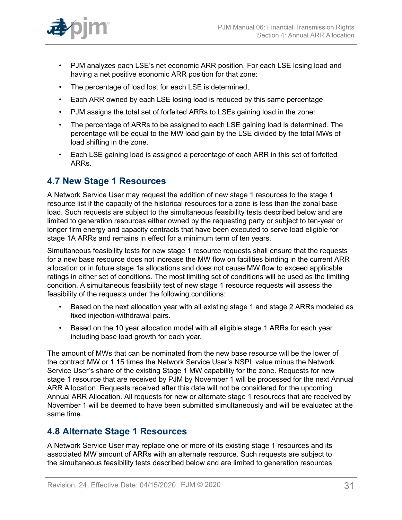

- PJM analyzes each LSE's net economic ARR position. For each LSE losing load and having a net positive economic ARR position for that zone:
- The percentage of load lost for each LSE is determined,
- Each ARR owned by each LSE losing load is reduced by this same percentage
- PJM assigns the total set of forfeited ARRs to LSEs gaining load in the zone:
- The percentage of ARRs to be assigned to each LSE gaining load is determined. The percentage will be equal to the MW load gain by the LSE divided by the total MWs of load shifting in the zone.
- Each LSE gaining load is assigned a percentage of each ARR in this set of forfeited ARRs.

### <span id="page-30-0"></span>**4.7 New Stage 1 Resources**

A Network Service User may request the addition of new stage 1 resources to the stage 1 resource list if the capacity of the historical resources for a zone is less than the zonal base load. Such requests are subject to the simultaneous feasibility tests described below and are limited to generation resources either owned by the requesting party or subject to ten-year or longer firm energy and capacity contracts that have been executed to serve load eligible for stage 1A ARRs and remains in effect for a minimum term of ten years.

Simultaneous feasibility tests for new stage 1 resource requests shall ensure that the requests for a new base resource does not increase the MW flow on facilities binding in the current ARR allocation or in future stage 1a allocations and does not cause MW flow to exceed applicable ratings in either set of conditions. The most limiting set of conditions will be used as the limiting condition. A simultaneous feasibility test of new stage 1 resource requests will assess the feasibility of the requests under the following conditions:

- Based on the next allocation year with all existing stage 1 and stage 2 ARRs modeled as fixed injection-withdrawal pairs.
- Based on the 10 year allocation model with all eligible stage 1 ARRs for each year including base load growth for each year.

The amount of MWs that can be nominated from the new base resource will be the lower of the contract MW or 1.15 times the Network Service User's NSPL value minus the Network Service User's share of the existing Stage 1 MW capability for the zone. Requests for new stage 1 resource that are received by PJM by November 1 will be processed for the next Annual ARR Allocation. Requests received after this date will not be considered for the upcoming Annual ARR Allocation. All requests for new or alternate stage 1 resources that are received by November 1 will be deemed to have been submitted simultaneously and will be evaluated at the same time.

### <span id="page-30-1"></span>**4.8 Alternate Stage 1 Resources**

A Network Service User may replace one or more of its existing stage 1 resources and its associated MW amount of ARRs with an alternate resource. Such requests are subject to the simultaneous feasibility tests described below and are limited to generation resources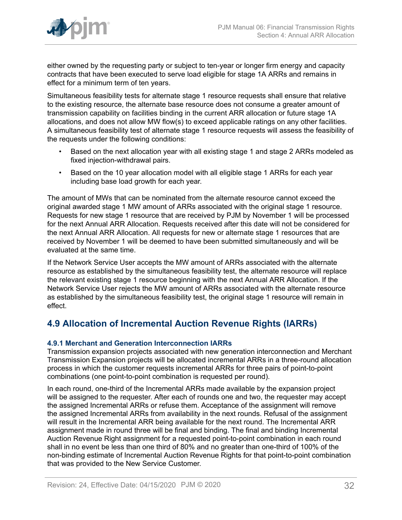

either owned by the requesting party or subject to ten-year or longer firm energy and capacity contracts that have been executed to serve load eligible for stage 1A ARRs and remains in effect for a minimum term of ten years.

Simultaneous feasibility tests for alternate stage 1 resource requests shall ensure that relative to the existing resource, the alternate base resource does not consume a greater amount of transmission capability on facilities binding in the current ARR allocation or future stage 1A allocations, and does not allow MW flow(s) to exceed applicable ratings on any other facilities. A simultaneous feasibility test of alternate stage 1 resource requests will assess the feasibility of the requests under the following conditions:

- Based on the next allocation year with all existing stage 1 and stage 2 ARRs modeled as fixed injection-withdrawal pairs.
- Based on the 10 year allocation model with all eligible stage 1 ARRs for each year including base load growth for each year.

The amount of MWs that can be nominated from the alternate resource cannot exceed the original awarded stage 1 MW amount of ARRs associated with the original stage 1 resource. Requests for new stage 1 resource that are received by PJM by November 1 will be processed for the next Annual ARR Allocation. Requests received after this date will not be considered for the next Annual ARR Allocation. All requests for new or alternate stage 1 resources that are received by November 1 will be deemed to have been submitted simultaneously and will be evaluated at the same time.

If the Network Service User accepts the MW amount of ARRs associated with the alternate resource as established by the simultaneous feasibility test, the alternate resource will replace the relevant existing stage 1 resource beginning with the next Annual ARR Allocation. If the Network Service User rejects the MW amount of ARRs associated with the alternate resource as established by the simultaneous feasibility test, the original stage 1 resource will remain in effect.

## <span id="page-31-0"></span>**4.9 Allocation of Incremental Auction Revenue Rights (IARRs)**

### <span id="page-31-1"></span>**4.9.1 Merchant and Generation Interconnection IARRs**

Transmission expansion projects associated with new generation interconnection and Merchant Transmission Expansion projects will be allocated incremental ARRs in a three-round allocation process in which the customer requests incremental ARRs for three pairs of point-to-point combinations (one point-to-point combination is requested per round).

In each round, one-third of the Incremental ARRs made available by the expansion project will be assigned to the requester. After each of rounds one and two, the requester may accept the assigned Incremental ARRs or refuse them. Acceptance of the assignment will remove the assigned Incremental ARRs from availability in the next rounds. Refusal of the assignment will result in the Incremental ARR being available for the next round. The Incremental ARR assignment made in round three will be final and binding. The final and binding Incremental Auction Revenue Right assignment for a requested point-to-point combination in each round shall in no event be less than one third of 80% and no greater than one-third of 100% of the non-binding estimate of Incremental Auction Revenue Rights for that point-to-point combination that was provided to the New Service Customer.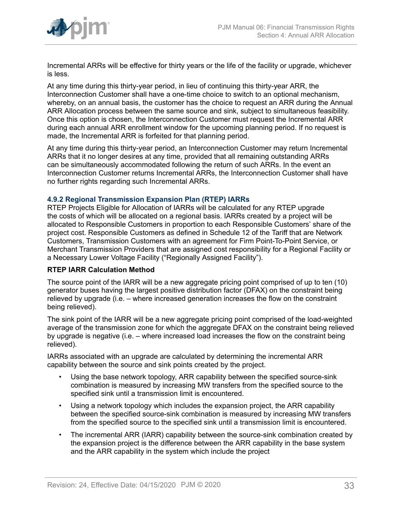

Incremental ARRs will be effective for thirty years or the life of the facility or upgrade, whichever is less.

At any time during this thirty-year period, in lieu of continuing this thirty-year ARR, the Interconnection Customer shall have a one-time choice to switch to an optional mechanism, whereby, on an annual basis, the customer has the choice to request an ARR during the Annual ARR Allocation process between the same source and sink, subject to simultaneous feasibility. Once this option is chosen, the Interconnection Customer must request the Incremental ARR during each annual ARR enrollment window for the upcoming planning period. If no request is made, the Incremental ARR is forfeited for that planning period.

At any time during this thirty-year period, an Interconnection Customer may return Incremental ARRs that it no longer desires at any time, provided that all remaining outstanding ARRs can be simultaneously accommodated following the return of such ARRs. In the event an Interconnection Customer returns Incremental ARRs, the Interconnection Customer shall have no further rights regarding such Incremental ARRs.

#### <span id="page-32-0"></span>**4.9.2 Regional Transmission Expansion Plan (RTEP) IARRs**

RTEP Projects Eligible for Allocation of IARRs will be calculated for any RTEP upgrade the costs of which will be allocated on a regional basis. IARRs created by a project will be allocated to Responsible Customers in proportion to each Responsible Customers' share of the project cost. Responsible Customers as defined in Schedule 12 of the Tariff that are Network Customers, Transmission Customers with an agreement for Firm Point-To-Point Service, or Merchant Transmission Providers that are assigned cost responsibility for a Regional Facility or a Necessary Lower Voltage Facility ("Regionally Assigned Facility").

### **RTEP IARR Calculation Method**

The source point of the IARR will be a new aggregate pricing point comprised of up to ten (10) generator buses having the largest positive distribution factor (DFAX) on the constraint being relieved by upgrade (i.e. – where increased generation increases the flow on the constraint being relieved).

The sink point of the IARR will be a new aggregate pricing point comprised of the load-weighted average of the transmission zone for which the aggregate DFAX on the constraint being relieved by upgrade is negative (i.e. – where increased load increases the flow on the constraint being relieved).

IARRs associated with an upgrade are calculated by determining the incremental ARR capability between the source and sink points created by the project.

- Using the base network topology, ARR capability between the specified source-sink combination is measured by increasing MW transfers from the specified source to the specified sink until a transmission limit is encountered.
- Using a network topology which includes the expansion project, the ARR capability between the specified source-sink combination is measured by increasing MW transfers from the specified source to the specified sink until a transmission limit is encountered.
- The incremental ARR (IARR) capability between the source-sink combination created by the expansion project is the difference between the ARR capability in the base system and the ARR capability in the system which include the project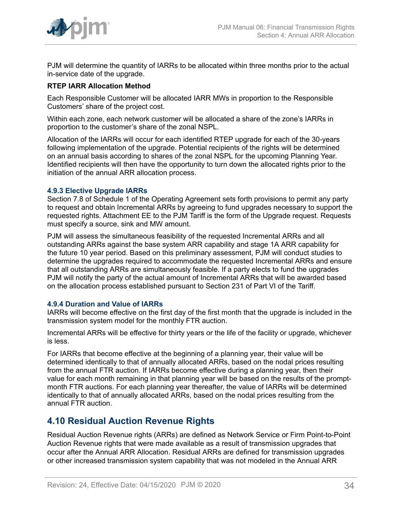

PJM will determine the quantity of IARRs to be allocated within three months prior to the actual in-service date of the upgrade.

### **RTEP IARR Allocation Method**

Each Responsible Customer will be allocated IARR MWs in proportion to the Responsible Customers' share of the project cost.

Within each zone, each network customer will be allocated a share of the zone's IARRs in proportion to the customer's share of the zonal NSPL.

Allocation of the IARRs will occur for each identified RTEP upgrade for each of the 30-years following implementation of the upgrade. Potential recipients of the rights will be determined on an annual basis according to shares of the zonal NSPL for the upcoming Planning Year. Identified recipients will then have the opportunity to turn down the allocated rights prior to the initiation of the annual ARR allocation process.

#### <span id="page-33-0"></span>**4.9.3 Elective Upgrade IARRs**

Section 7.8 of Schedule 1 of the Operating Agreement sets forth provisions to permit any party to request and obtain Incremental ARRs by agreeing to fund upgrades necessary to support the requested rights. Attachment EE to the PJM Tariff is the form of the Upgrade request. Requests must specify a source, sink and MW amount.

PJM will assess the simultaneous feasibility of the requested Incremental ARRs and all outstanding ARRs against the base system ARR capability and stage 1A ARR capability for the future 10 year period. Based on this preliminary assessment, PJM will conduct studies to determine the upgrades required to accommodate the requested Incremental ARRs and ensure that all outstanding ARRs are simultaneously feasible. If a party elects to fund the upgrades PJM will notify the party of the actual amount of Incremental ARRs that will be awarded based on the allocation process established pursuant to Section 231 of Part VI of the Tariff.

#### <span id="page-33-1"></span>**4.9.4 Duration and Value of IARRs**

IARRs will become effective on the first day of the first month that the upgrade is included in the transmission system model for the monthly FTR auction.

Incremental ARRs will be effective for thirty years or the life of the facility or upgrade, whichever is less.

For IARRs that become effective at the beginning of a planning year, their value will be determined identically to that of annually allocated ARRs, based on the nodal prices resulting from the annual FTR auction. If IARRs become effective during a planning year, then their value for each month remaining in that planning year will be based on the results of the promptmonth FTR auctions. For each planning year thereafter, the value of IARRs will be determined identically to that of annually allocated ARRs, based on the nodal prices resulting from the annual FTR auction.

### <span id="page-33-2"></span>**4.10 Residual Auction Revenue Rights**

Residual Auction Revenue rights (ARRs) are defined as Network Service or Firm Point-to-Point Auction Revenue rights that were made available as a result of transmission upgrades that occur after the Annual ARR Allocation. Residual ARRs are defined for transmission upgrades or other increased transmission system capability that was not modeled in the Annual ARR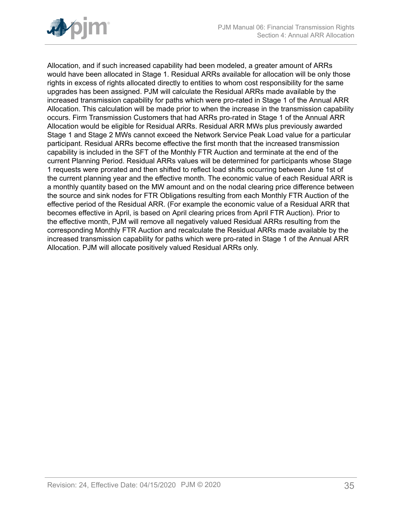

Allocation, and if such increased capability had been modeled, a greater amount of ARRs would have been allocated in Stage 1. Residual ARRs available for allocation will be only those rights in excess of rights allocated directly to entities to whom cost responsibility for the same upgrades has been assigned. PJM will calculate the Residual ARRs made available by the increased transmission capability for paths which were pro-rated in Stage 1 of the Annual ARR Allocation. This calculation will be made prior to when the increase in the transmission capability occurs. Firm Transmission Customers that had ARRs pro-rated in Stage 1 of the Annual ARR Allocation would be eligible for Residual ARRs. Residual ARR MWs plus previously awarded Stage 1 and Stage 2 MWs cannot exceed the Network Service Peak Load value for a particular participant. Residual ARRs become effective the first month that the increased transmission capability is included in the SFT of the Monthly FTR Auction and terminate at the end of the current Planning Period. Residual ARRs values will be determined for participants whose Stage 1 requests were prorated and then shifted to reflect load shifts occurring between June 1st of the current planning year and the effective month. The economic value of each Residual ARR is a monthly quantity based on the MW amount and on the nodal clearing price difference between the source and sink nodes for FTR Obligations resulting from each Monthly FTR Auction of the effective period of the Residual ARR. (For example the economic value of a Residual ARR that becomes effective in April, is based on April clearing prices from April FTR Auction). Prior to the effective month, PJM will remove all negatively valued Residual ARRs resulting from the corresponding Monthly FTR Auction and recalculate the Residual ARRs made available by the increased transmission capability for paths which were pro-rated in Stage 1 of the Annual ARR Allocation. PJM will allocate positively valued Residual ARRs only.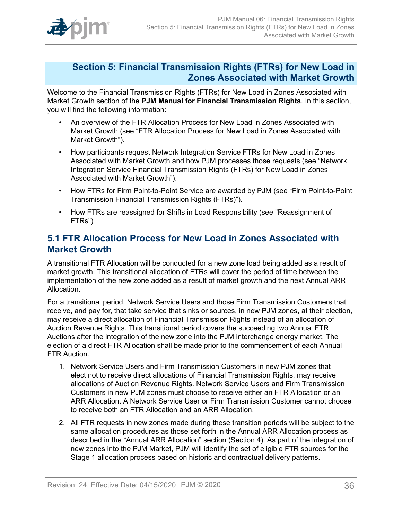

### <span id="page-35-0"></span>**Section 5: Financial Transmission Rights (FTRs) for New Load in Zones Associated with Market Growth**

Welcome to the Financial Transmission Rights (FTRs) for New Load in Zones Associated with Market Growth section of the **PJM Manual for Financial Transmission Rights**. In this section, you will find the following information:

- An overview of the FTR Allocation Process for New Load in Zones Associated with Market Growth (see "FTR Allocation Process for New Load in Zones Associated with Market Growth").
- How participants request Network Integration Service FTRs for New Load in Zones Associated with Market Growth and how PJM processes those requests (see "Network Integration Service Financial Transmission Rights (FTRs) for New Load in Zones Associated with Market Growth").
- How FTRs for Firm Point-to-Point Service are awarded by PJM (see "Firm Point-to-Point Transmission Financial Transmission Rights (FTRs)").
- How FTRs are reassigned for Shifts in Load Responsibility (see "Reassignment of FTRs")

### <span id="page-35-1"></span>**5.1 FTR Allocation Process for New Load in Zones Associated with Market Growth**

A transitional FTR Allocation will be conducted for a new zone load being added as a result of market growth. This transitional allocation of FTRs will cover the period of time between the implementation of the new zone added as a result of market growth and the next Annual ARR Allocation.

For a transitional period, Network Service Users and those Firm Transmission Customers that receive, and pay for, that take service that sinks or sources, in new PJM zones, at their election, may receive a direct allocation of Financial Transmission Rights instead of an allocation of Auction Revenue Rights. This transitional period covers the succeeding two Annual FTR Auctions after the integration of the new zone into the PJM interchange energy market. The election of a direct FTR Allocation shall be made prior to the commencement of each Annual FTR Auction.

- 1. Network Service Users and Firm Transmission Customers in new PJM zones that elect not to receive direct allocations of Financial Transmission Rights, may receive allocations of Auction Revenue Rights. Network Service Users and Firm Transmission Customers in new PJM zones must choose to receive either an FTR Allocation or an ARR Allocation. A Network Service User or Firm Transmission Customer cannot choose to receive both an FTR Allocation and an ARR Allocation.
- 2. All FTR requests in new zones made during these transition periods will be subject to the same allocation procedures as those set forth in the Annual ARR Allocation process as described in the "Annual ARR Allocation" section (Section 4). As part of the integration of new zones into the PJM Market, PJM will identify the set of eligible FTR sources for the Stage 1 allocation process based on historic and contractual delivery patterns.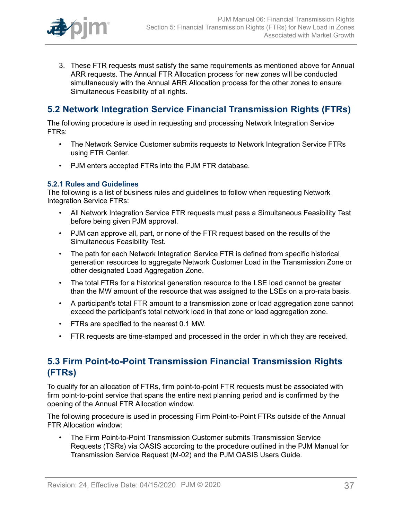

3. These FTR requests must satisfy the same requirements as mentioned above for Annual ARR requests. The Annual FTR Allocation process for new zones will be conducted simultaneously with the Annual ARR Allocation process for the other zones to ensure Simultaneous Feasibility of all rights.

## <span id="page-36-0"></span>**5.2 Network Integration Service Financial Transmission Rights (FTRs)**

The following procedure is used in requesting and processing Network Integration Service FTRs:

- The Network Service Customer submits requests to Network Integration Service FTRs using FTR Center.
- PJM enters accepted FTRs into the PJM FTR database.

### <span id="page-36-1"></span>**5.2.1 Rules and Guidelines**

The following is a list of business rules and guidelines to follow when requesting Network Integration Service FTRs:

- All Network Integration Service FTR requests must pass a Simultaneous Feasibility Test before being given PJM approval.
- PJM can approve all, part, or none of the FTR request based on the results of the Simultaneous Feasibility Test.
- The path for each Network Integration Service FTR is defined from specific historical generation resources to aggregate Network Customer Load in the Transmission Zone or other designated Load Aggregation Zone.
- The total FTRs for a historical generation resource to the LSE load cannot be greater than the MW amount of the resource that was assigned to the LSEs on a pro-rata basis.
- A participant's total FTR amount to a transmission zone or load aggregation zone cannot exceed the participant's total network load in that zone or load aggregation zone.
- FTRs are specified to the nearest 0.1 MW.
- FTR requests are time-stamped and processed in the order in which they are received.

## <span id="page-36-2"></span>**5.3 Firm Point-to-Point Transmission Financial Transmission Rights (FTRs)**

To qualify for an allocation of FTRs, firm point-to-point FTR requests must be associated with firm point-to-point service that spans the entire next planning period and is confirmed by the opening of the Annual FTR Allocation window.

The following procedure is used in processing Firm Point-to-Point FTRs outside of the Annual FTR Allocation window:

• The Firm Point-to-Point Transmission Customer submits Transmission Service Requests (TSRs) via OASIS according to the procedure outlined in the PJM Manual for Transmission Service Request (M-02) and the PJM OASIS Users Guide.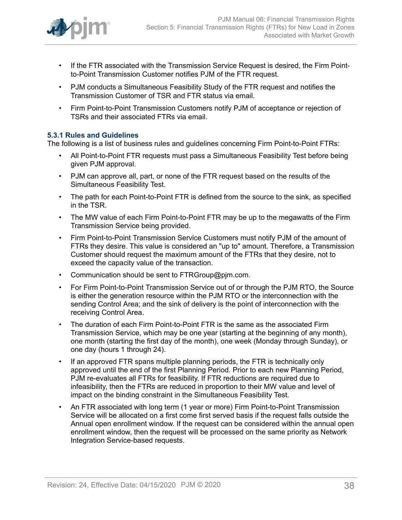

- If the FTR associated with the Transmission Service Request is desired, the Firm Pointto-Point Transmission Customer notifies PJM of the FTR request.
- PJM conducts a Simultaneous Feasibility Study of the FTR request and notifies the Transmission Customer of TSR and FTR status via email.
- Firm Point-to-Point Transmission Customers notify PJM of acceptance or rejection of TSRs and their associated FTRs via email.

### <span id="page-37-0"></span>**5.3.1 Rules and Guidelines**

The following is a list of business rules and guidelines concerning Firm Point-to-Point FTRs:

- All Point-to-Point FTR requests must pass a Simultaneous Feasibility Test before being given PJM approval.
- PJM can approve all, part, or none of the FTR request based on the results of the Simultaneous Feasibility Test.
- The path for each Point-to-Point FTR is defined from the source to the sink, as specified in the TSR.
- The MW value of each Firm Point-to-Point FTR may be up to the megawatts of the Firm Transmission Service being provided.
- Firm Point-to-Point Transmission Service Customers must notify PJM of the amount of FTRs they desire. This value is considered an "up to" amount. Therefore, a Transmission Customer should request the maximum amount of the FTRs that they desire, not to exceed the capacity value of the transaction.
- Communication should be sent to FTRGroup@pjm.com.
- For Firm Point-to-Point Transmission Service out of or through the PJM RTO, the Source is either the generation resource within the PJM RTO or the interconnection with the sending Control Area; and the sink of delivery is the point of interconnection with the receiving Control Area.
- The duration of each Firm Point-to-Point FTR is the same as the associated Firm Transmission Service, which may be one year (starting at the beginning of any month), one month (starting the first day of the month), one week (Monday through Sunday), or one day (hours 1 through 24).
- If an approved FTR spans multiple planning periods, the FTR is technically only approved until the end of the first Planning Period. Prior to each new Planning Period, PJM re-evaluates all FTRs for feasibility. If FTR reductions are required due to infeasibility, then the FTRs are reduced in proportion to their MW value and level of impact on the binding constraint in the Simultaneous Feasibility Test.
- An FTR associated with long term (1 year or more) Firm Point-to-Point Transmission Service will be allocated on a first come first served basis if the request falls outside the Annual open enrollment window. If the request can be considered within the annual open enrollment window, then the request will be processed on the same priority as Network Integration Service-based requests.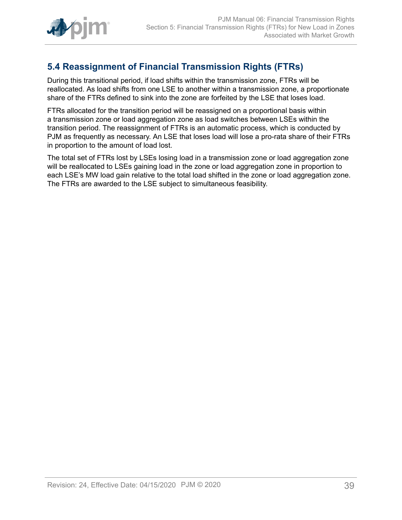

## <span id="page-38-0"></span>**5.4 Reassignment of Financial Transmission Rights (FTRs)**

During this transitional period, if load shifts within the transmission zone, FTRs will be reallocated. As load shifts from one LSE to another within a transmission zone, a proportionate share of the FTRs defined to sink into the zone are forfeited by the LSE that loses load.

FTRs allocated for the transition period will be reassigned on a proportional basis within a transmission zone or load aggregation zone as load switches between LSEs within the transition period. The reassignment of FTRs is an automatic process, which is conducted by PJM as frequently as necessary. An LSE that loses load will lose a pro-rata share of their FTRs in proportion to the amount of load lost.

The total set of FTRs lost by LSEs losing load in a transmission zone or load aggregation zone will be reallocated to LSEs gaining load in the zone or load aggregation zone in proportion to each LSE's MW load gain relative to the total load shifted in the zone or load aggregation zone. The FTRs are awarded to the LSE subject to simultaneous feasibility.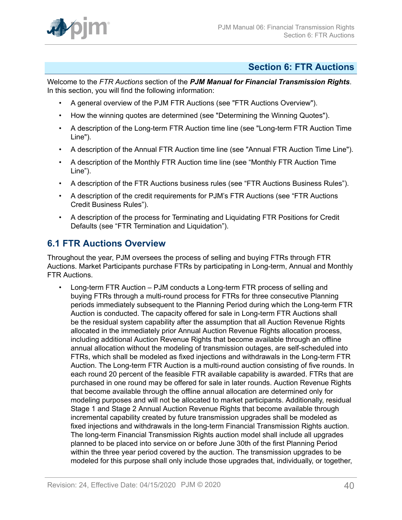

## <span id="page-39-0"></span>**Section 6: FTR Auctions**

Welcome to the *FTR Auctions* section of the *PJM Manual for Financial Transmission Rights*. In this section, you will find the following information:

- A general overview of the PJM FTR Auctions (see "FTR Auctions Overview").
- How the winning quotes are determined (see "Determining the Winning Quotes").
- A description of the Long-term FTR Auction time line (see "Long-term FTR Auction Time Line").
- A description of the Annual FTR Auction time line (see "Annual FTR Auction Time Line").
- A description of the Monthly FTR Auction time line (see "Monthly FTR Auction Time Line").
- A description of the FTR Auctions business rules (see "FTR Auctions Business Rules").
- A description of the credit requirements for PJM's FTR Auctions (see "FTR Auctions Credit Business Rules").
- A description of the process for Terminating and Liquidating FTR Positions for Credit Defaults (see "FTR Termination and Liquidation").

## <span id="page-39-1"></span>**6.1 FTR Auctions Overview**

Throughout the year, PJM oversees the process of selling and buying FTRs through FTR Auctions. Market Participants purchase FTRs by participating in Long-term, Annual and Monthly FTR Auctions.

• Long-term FTR Auction – PJM conducts a Long-term FTR process of selling and buying FTRs through a multi-round process for FTRs for three consecutive Planning periods immediately subsequent to the Planning Period during which the Long-term FTR Auction is conducted. The capacity offered for sale in Long-term FTR Auctions shall be the residual system capability after the assumption that all Auction Revenue Rights allocated in the immediately prior Annual Auction Revenue Rights allocation process, including additional Auction Revenue Rights that become available through an offline annual allocation without the modeling of transmission outages, are self-scheduled into FTRs, which shall be modeled as fixed injections and withdrawals in the Long-term FTR Auction. The Long-term FTR Auction is a multi-round auction consisting of five rounds. In each round 20 percent of the feasible FTR available capability is awarded. FTRs that are purchased in one round may be offered for sale in later rounds. Auction Revenue Rights that become available through the offline annual allocation are determined only for modeling purposes and will not be allocated to market participants. Additionally, residual Stage 1 and Stage 2 Annual Auction Revenue Rights that become available through incremental capability created by future transmission upgrades shall be modeled as fixed injections and withdrawals in the long-term Financial Transmission Rights auction. The long-term Financial Transmission Rights auction model shall include all upgrades planned to be placed into service on or before June 30th of the first Planning Period within the three year period covered by the auction. The transmission upgrades to be modeled for this purpose shall only include those upgrades that, individually, or together,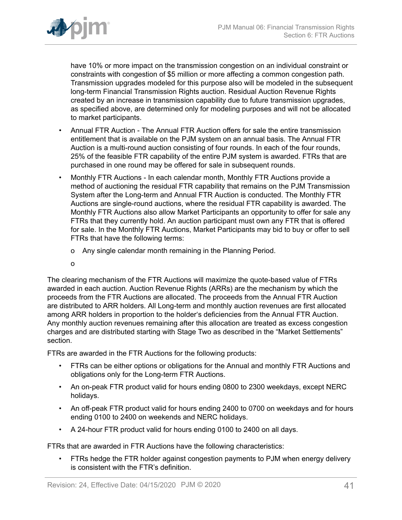

have 10% or more impact on the transmission congestion on an individual constraint or constraints with congestion of \$5 million or more affecting a common congestion path. Transmission upgrades modeled for this purpose also will be modeled in the subsequent long-term Financial Transmission Rights auction. Residual Auction Revenue Rights created by an increase in transmission capability due to future transmission upgrades, as specified above, are determined only for modeling purposes and will not be allocated to market participants.

- Annual FTR Auction The Annual FTR Auction offers for sale the entire transmission entitlement that is available on the PJM system on an annual basis. The Annual FTR Auction is a multi-round auction consisting of four rounds. In each of the four rounds, 25% of the feasible FTR capability of the entire PJM system is awarded. FTRs that are purchased in one round may be offered for sale in subsequent rounds.
- Monthly FTR Auctions In each calendar month, Monthly FTR Auctions provide a method of auctioning the residual FTR capability that remains on the PJM Transmission System after the Long-term and Annual FTR Auction is conducted. The Monthly FTR Auctions are single-round auctions, where the residual FTR capability is awarded. The Monthly FTR Auctions also allow Market Participants an opportunity to offer for sale any FTRs that they currently hold. An auction participant must own any FTR that is offered for sale. In the Monthly FTR Auctions, Market Participants may bid to buy or offer to sell FTRs that have the following terms:
	- o Any single calendar month remaining in the Planning Period.
	- o

The clearing mechanism of the FTR Auctions will maximize the quote-based value of FTRs awarded in each auction. Auction Revenue Rights (ARRs) are the mechanism by which the proceeds from the FTR Auctions are allocated. The proceeds from the Annual FTR Auction are distributed to ARR holders. All Long-term and monthly auction revenues are first allocated among ARR holders in proportion to the holder's deficiencies from the Annual FTR Auction. Any monthly auction revenues remaining after this allocation are treated as excess congestion charges and are distributed starting with Stage Two as described in the "Market Settlements" section.

FTRs are awarded in the FTR Auctions for the following products:

- FTRs can be either options or obligations for the Annual and monthly FTR Auctions and obligations only for the Long-term FTR Auctions.
- An on-peak FTR product valid for hours ending 0800 to 2300 weekdays, except NERC holidays.
- An off-peak FTR product valid for hours ending 2400 to 0700 on weekdays and for hours ending 0100 to 2400 on weekends and NERC holidays.
- A 24-hour FTR product valid for hours ending 0100 to 2400 on all days.

FTRs that are awarded in FTR Auctions have the following characteristics:

• FTRs hedge the FTR holder against congestion payments to PJM when energy delivery is consistent with the FTR's definition.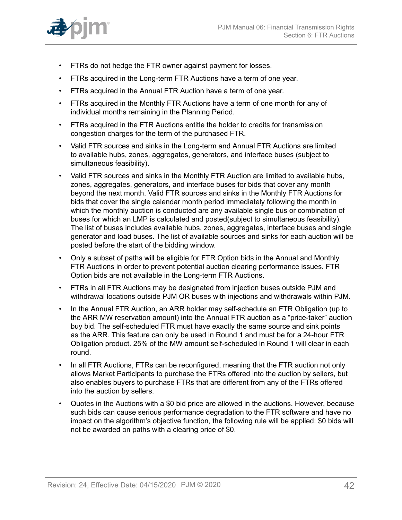

- FTRs do not hedge the FTR owner against payment for losses.
- FTRs acquired in the Long-term FTR Auctions have a term of one year.
- FTRs acquired in the Annual FTR Auction have a term of one year.
- FTRs acquired in the Monthly FTR Auctions have a term of one month for any of individual months remaining in the Planning Period.
- FTRs acquired in the FTR Auctions entitle the holder to credits for transmission congestion charges for the term of the purchased FTR.
- Valid FTR sources and sinks in the Long-term and Annual FTR Auctions are limited to available hubs, zones, aggregates, generators, and interface buses (subject to simultaneous feasibility).
- Valid FTR sources and sinks in the Monthly FTR Auction are limited to available hubs, zones, aggregates, generators, and interface buses for bids that cover any month beyond the next month. Valid FTR sources and sinks in the Monthly FTR Auctions for bids that cover the single calendar month period immediately following the month in which the monthly auction is conducted are any available single bus or combination of buses for which an LMP is calculated and posted(subject to simultaneous feasibility). The list of buses includes available hubs, zones, aggregates, interface buses and single generator and load buses. The list of available sources and sinks for each auction will be posted before the start of the bidding window.
- Only a subset of paths will be eligible for FTR Option bids in the Annual and Monthly FTR Auctions in order to prevent potential auction clearing performance issues. FTR Option bids are not available in the Long-term FTR Auctions.
- FTRs in all FTR Auctions may be designated from injection buses outside PJM and withdrawal locations outside PJM OR buses with injections and withdrawals within PJM.
- In the Annual FTR Auction, an ARR holder may self-schedule an FTR Obligation (up to the ARR MW reservation amount) into the Annual FTR auction as a "price-taker" auction buy bid. The self-scheduled FTR must have exactly the same source and sink points as the ARR. This feature can only be used in Round 1 and must be for a 24-hour FTR Obligation product. 25% of the MW amount self-scheduled in Round 1 will clear in each round.
- In all FTR Auctions, FTRs can be reconfigured, meaning that the FTR auction not only allows Market Participants to purchase the FTRs offered into the auction by sellers, but also enables buyers to purchase FTRs that are different from any of the FTRs offered into the auction by sellers.
- Quotes in the Auctions with a \$0 bid price are allowed in the auctions. However, because such bids can cause serious performance degradation to the FTR software and have no impact on the algorithm's objective function, the following rule will be applied: \$0 bids will not be awarded on paths with a clearing price of \$0.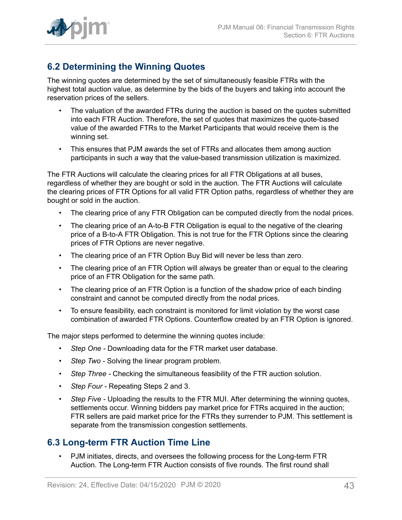

## <span id="page-42-0"></span>**6.2 Determining the Winning Quotes**

The winning quotes are determined by the set of simultaneously feasible FTRs with the highest total auction value, as determine by the bids of the buyers and taking into account the reservation prices of the sellers.

- The valuation of the awarded FTRs during the auction is based on the quotes submitted into each FTR Auction. Therefore, the set of quotes that maximizes the quote-based value of the awarded FTRs to the Market Participants that would receive them is the winning set.
- This ensures that PJM awards the set of FTRs and allocates them among auction participants in such a way that the value-based transmission utilization is maximized.

The FTR Auctions will calculate the clearing prices for all FTR Obligations at all buses, regardless of whether they are bought or sold in the auction. The FTR Auctions will calculate the clearing prices of FTR Options for all valid FTR Option paths, regardless of whether they are bought or sold in the auction.

- The clearing price of any FTR Obligation can be computed directly from the nodal prices.
- The clearing price of an A-to-B FTR Obligation is equal to the negative of the clearing price of a B-to-A FTR Obligation. This is not true for the FTR Options since the clearing prices of FTR Options are never negative.
- The clearing price of an FTR Option Buy Bid will never be less than zero.
- The clearing price of an FTR Option will always be greater than or equal to the clearing price of an FTR Obligation for the same path.
- The clearing price of an FTR Option is a function of the shadow price of each binding constraint and cannot be computed directly from the nodal prices.
- To ensure feasibility, each constraint is monitored for limit violation by the worst case combination of awarded FTR Options. Counterflow created by an FTR Option is ignored.

The major steps performed to determine the winning quotes include:

- *Step One* Downloading data for the FTR market user database.
- *Step Two -* Solving the linear program problem.
- *Step Three* Checking the simultaneous feasibility of the FTR auction solution.
- *Step Four* Repeating Steps 2 and 3.
- *Step Five* Uploading the results to the FTR MUI. After determining the winning quotes, settlements occur. Winning bidders pay market price for FTRs acquired in the auction; FTR sellers are paid market price for the FTRs they surrender to PJM. This settlement is separate from the transmission congestion settlements.

### <span id="page-42-1"></span>**6.3 Long-term FTR Auction Time Line**

• PJM initiates, directs, and oversees the following process for the Long-term FTR Auction. The Long-term FTR Auction consists of five rounds. The first round shall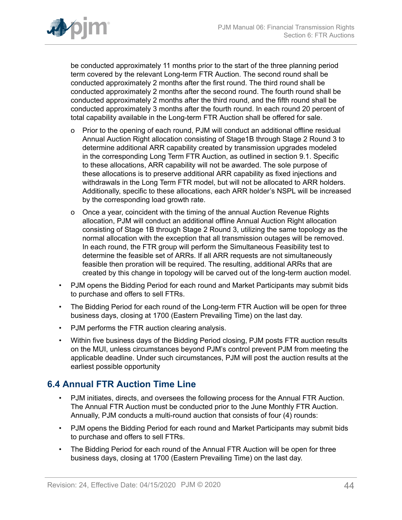

be conducted approximately 11 months prior to the start of the three planning period term covered by the relevant Long-term FTR Auction. The second round shall be conducted approximately 2 months after the first round. The third round shall be conducted approximately 2 months after the second round. The fourth round shall be conducted approximately 2 months after the third round, and the fifth round shall be conducted approximately 3 months after the fourth round. In each round 20 percent of total capability available in the Long-term FTR Auction shall be offered for sale.

- o Prior to the opening of each round, PJM will conduct an additional offline residual Annual Auction Right allocation consisting of Stage1B through Stage 2 Round 3 to determine additional ARR capability created by transmission upgrades modeled in the corresponding Long Term FTR Auction, as outlined in section 9.1. Specific to these allocations, ARR capability will not be awarded. The sole purpose of these allocations is to preserve additional ARR capability as fixed injections and withdrawals in the Long Term FTR model, but will not be allocated to ARR holders. Additionally, specific to these allocations, each ARR holder's NSPL will be increased by the corresponding load growth rate.
- o Once a year, coincident with the timing of the annual Auction Revenue Rights allocation, PJM will conduct an additional offline Annual Auction Right allocation consisting of Stage 1B through Stage 2 Round 3, utilizing the same topology as the normal allocation with the exception that all transmission outages will be removed. In each round, the FTR group will perform the Simultaneous Feasibility test to determine the feasible set of ARRs. If all ARR requests are not simultaneously feasible then proration will be required. The resulting, additional ARRs that are created by this change in topology will be carved out of the long-term auction model.
- PJM opens the Bidding Period for each round and Market Participants may submit bids to purchase and offers to sell FTRs.
- The Bidding Period for each round of the Long-term FTR Auction will be open for three business days, closing at 1700 (Eastern Prevailing Time) on the last day.
- PJM performs the FTR auction clearing analysis.
- Within five business days of the Bidding Period closing, PJM posts FTR auction results on the MUI, unless circumstances beyond PJM's control prevent PJM from meeting the applicable deadline. Under such circumstances, PJM will post the auction results at the earliest possible opportunity

### <span id="page-43-0"></span>**6.4 Annual FTR Auction Time Line**

- PJM initiates, directs, and oversees the following process for the Annual FTR Auction. The Annual FTR Auction must be conducted prior to the June Monthly FTR Auction. Annually, PJM conducts a multi-round auction that consists of four (4) rounds:
- PJM opens the Bidding Period for each round and Market Participants may submit bids to purchase and offers to sell FTRs.
- The Bidding Period for each round of the Annual FTR Auction will be open for three business days, closing at 1700 (Eastern Prevailing Time) on the last day.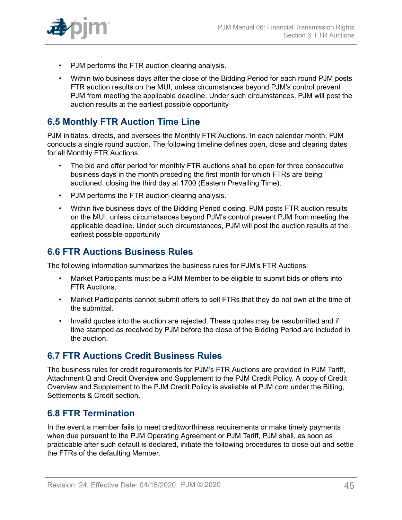

- PJM performs the FTR auction clearing analysis.
- Within two business days after the close of the Bidding Period for each round PJM posts FTR auction results on the MUI, unless circumstances beyond PJM's control prevent PJM from meeting the applicable deadline. Under such circumstances, PJM will post the auction results at the earliest possible opportunity

## <span id="page-44-0"></span>**6.5 Monthly FTR Auction Time Line**

PJM initiates, directs, and oversees the Monthly FTR Auctions. In each calendar month, PJM conducts a single round auction. The following timeline defines open, close and clearing dates for all Monthly FTR Auctions.

- The bid and offer period for monthly FTR auctions shall be open for three consecutive business days in the month preceding the first month for which FTRs are being auctioned, closing the third day at 1700 (Eastern Prevailing Time).
- PJM performs the FTR auction clearing analysis.
- Within five business days of the Bidding Period closing, PJM posts FTR auction results on the MUI, unless circumstances beyond PJM's control prevent PJM from meeting the applicable deadline. Under such circumstances, PJM will post the auction results at the earliest possible opportunity

### <span id="page-44-1"></span>**6.6 FTR Auctions Business Rules**

The following information summarizes the business rules for PJM's FTR Auctions:

- Market Participants must be a PJM Member to be eligible to submit bids or offers into FTR Auctions.
- Market Participants cannot submit offers to sell FTRs that they do not own at the time of the submittal.
- Invalid quotes into the auction are rejected. These quotes may be resubmitted and if time stamped as received by PJM before the close of the Bidding Period are included in the auction.

### <span id="page-44-2"></span>**6.7 FTR Auctions Credit Business Rules**

The business rules for credit requirements for PJM's FTR Auctions are provided in PJM Tariff, Attachment Q and Credit Overview and Supplement to the PJM Credit Policy. A copy of Credit Overview and Supplement to the PJM Credit Policy is available at PJM.com under the Billing, Settlements & Credit section.

### <span id="page-44-3"></span>**6.8 FTR Termination**

In the event a member fails to meet creditworthiness requirements or make timely payments when due pursuant to the PJM Operating Agreement or PJM Tariff, PJM shall, as soon as practicable after such default is declared, initiate the following procedures to close out and settle the FTRs of the defaulting Member.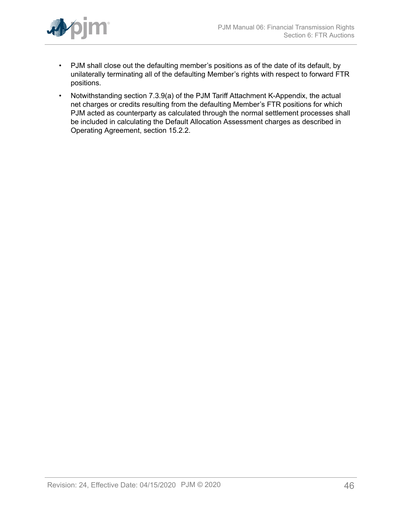

- PJM shall close out the defaulting member's positions as of the date of its default, by unilaterally terminating all of the defaulting Member's rights with respect to forward FTR positions.
- Notwithstanding section 7.3.9(a) of the PJM Tariff Attachment K-Appendix, the actual net charges or credits resulting from the defaulting Member's FTR positions for which PJM acted as counterparty as calculated through the normal settlement processes shall be included in calculating the Default Allocation Assessment charges as described in Operating Agreement, section 15.2.2.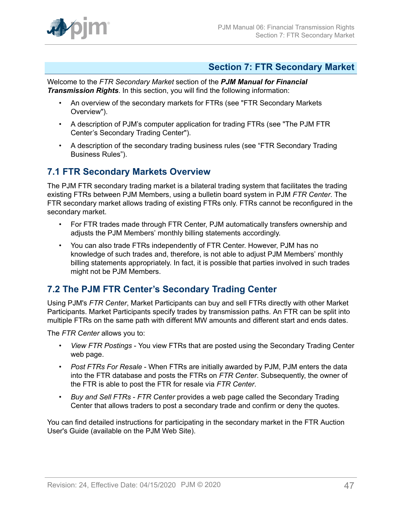

### <span id="page-46-0"></span>**Section 7: FTR Secondary Market**

Welcome to the *FTR Secondary Market* section of the *PJM Manual for Financial Transmission Rights*. In this section, you will find the following information:

- An overview of the secondary markets for FTRs (see "FTR Secondary Markets Overview").
- A description of PJM's computer application for trading FTRs (see "The PJM FTR Center's Secondary Trading Center").
- A description of the secondary trading business rules (see "FTR Secondary Trading Business Rules").

### <span id="page-46-1"></span>**7.1 FTR Secondary Markets Overview**

The PJM FTR secondary trading market is a bilateral trading system that facilitates the trading existing FTRs between PJM Members, using a bulletin board system in PJM *FTR Center*. The FTR secondary market allows trading of existing FTRs only. FTRs cannot be reconfigured in the secondary market.

- For FTR trades made through FTR Center, PJM automatically transfers ownership and adjusts the PJM Members' monthly billing statements accordingly.
- You can also trade FTRs independently of FTR Center. However, PJM has no knowledge of such trades and, therefore, is not able to adjust PJM Members' monthly billing statements appropriately. In fact, it is possible that parties involved in such trades might not be PJM Members.

## <span id="page-46-2"></span>**7.2 The PJM FTR Center's Secondary Trading Center**

Using PJM's *FTR Center*, Market Participants can buy and sell FTRs directly with other Market Participants. Market Participants specify trades by transmission paths. An FTR can be split into multiple FTRs on the same path with different MW amounts and different start and ends dates.

The *FTR Center* allows you to:

- *View FTR Postings* You view FTRs that are posted using the Secondary Trading Center web page.
- *Post FTRs For Resale* When FTRs are initially awarded by PJM, PJM enters the data into the FTR database and posts the FTRs on *FTR Center*. Subsequently, the owner of the FTR is able to post the FTR for resale via *FTR Center*.
- *Buy and Sell FTRs FTR Center* provides a web page called the Secondary Trading Center that allows traders to post a secondary trade and confirm or deny the quotes.

You can find detailed instructions for participating in the secondary market in the FTR Auction User's Guide (available on the PJM Web Site).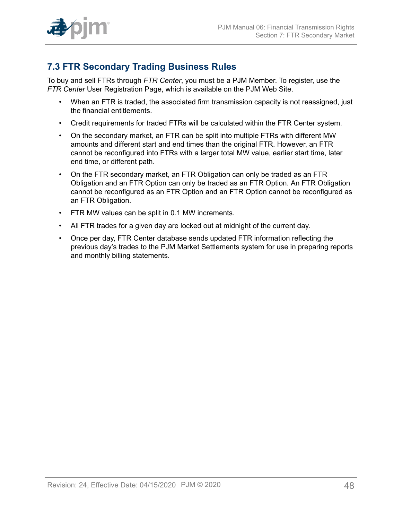

## <span id="page-47-0"></span>**7.3 FTR Secondary Trading Business Rules**

To buy and sell FTRs through *FTR Center*, you must be a PJM Member. To register, use the *FTR Center* User Registration Page, which is available on the PJM Web Site.

- When an FTR is traded, the associated firm transmission capacity is not reassigned, just the financial entitlements.
- Credit requirements for traded FTRs will be calculated within the FTR Center system.
- On the secondary market, an FTR can be split into multiple FTRs with different MW amounts and different start and end times than the original FTR. However, an FTR cannot be reconfigured into FTRs with a larger total MW value, earlier start time, later end time, or different path.
- On the FTR secondary market, an FTR Obligation can only be traded as an FTR Obligation and an FTR Option can only be traded as an FTR Option. An FTR Obligation cannot be reconfigured as an FTR Option and an FTR Option cannot be reconfigured as an FTR Obligation.
- FTR MW values can be split in 0.1 MW increments.
- All FTR trades for a given day are locked out at midnight of the current day.
- Once per day, FTR Center database sends updated FTR information reflecting the previous day's trades to the PJM Market Settlements system for use in preparing reports and monthly billing statements.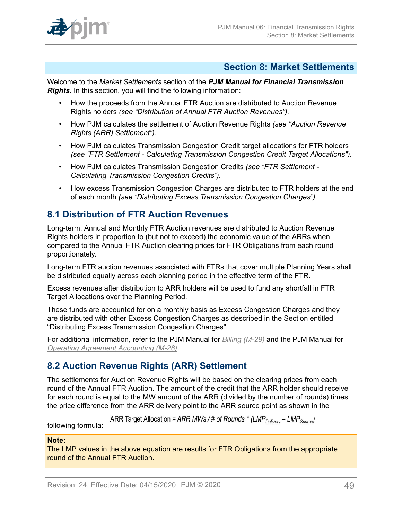

### <span id="page-48-0"></span>**Section 8: Market Settlements**

Welcome to the *Market Settlements* section of the *PJM Manual for Financial Transmission Rights*. In this section, you will find the following information:

- How the proceeds from the Annual FTR Auction are distributed to Auction Revenue Rights holders *(see "Distribution of Annual FTR Auction Revenues").*
- How PJM calculates the settlement of Auction Revenue Rights *(see "Auction Revenue Rights (ARR) Settlement").*
- How PJM calculates Transmission Congestion Credit target allocations for FTR holders *(see "FTR Settlement - Calculating Transmission Congestion Credit Target Allocations").*
- How PJM calculates Transmission Congestion Credits *(see "FTR Settlement - Calculating Transmission Congestion Credits").*
- How excess Transmission Congestion Charges are distributed to FTR holders at the end of each month *(see "Distributing Excess Transmission Congestion Charges").*

## <span id="page-48-1"></span>**8.1 Distribution of FTR Auction Revenues**

Long-term, Annual and Monthly FTR Auction revenues are distributed to Auction Revenue Rights holders in proportion to (but not to exceed) the economic value of the ARRs when compared to the Annual FTR Auction clearing prices for FTR Obligations from each round proportionately.

Long-term FTR auction revenues associated with FTRs that cover multiple Planning Years shall be distributed equally across each planning period in the effective term of the FTR.

Excess revenues after distribution to ARR holders will be used to fund any shortfall in FTR Target Allocations over the Planning Period.

These funds are accounted for on a monthly basis as Excess Congestion Charges and they are distributed with other Excess Congestion Charges as described in the Section entitled "Distributing Excess Transmission Congestion Charges".

For additional information, refer to the PJM Manual for *[Billing \(M-29\)](http://www.pjm.com/~/media/documents/manuals/m29.ashx)* and the PJM Manual for *[Operating Agreement Accounting \(M-28\)](http://www.pjm.com/~/media/documents/manuals/m28.ashx)*.

## <span id="page-48-2"></span>**8.2 Auction Revenue Rights (ARR) Settlement**

The settlements for Auction Revenue Rights will be based on the clearing prices from each round of the Annual FTR Auction. The amount of the credit that the ARR holder should receive for each round is equal to the MW amount of the ARR (divided by the number of rounds) times the price difference from the ARR delivery point to the ARR source point as shown in the

ARR Target Allocation = ARR MWs / # of Rounds \* (LMP<sub>Delivery</sub> – LMP<sub>Source</sub>)

following formula:

### **Note:**

The LMP values in the above equation are results for FTR Obligations from the appropriate round of the Annual FTR Auction.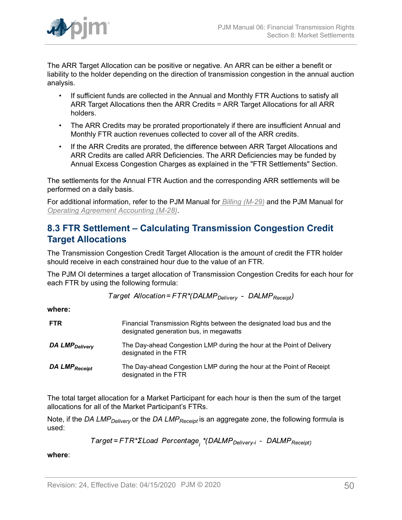

The ARR Target Allocation can be positive or negative. An ARR can be either a benefit or liability to the holder depending on the direction of transmission congestion in the annual auction analysis.

- If sufficient funds are collected in the Annual and Monthly FTR Auctions to satisfy all ARR Target Allocations then the ARR Credits = ARR Target Allocations for all ARR holders.
- The ARR Credits may be prorated proportionately if there are insufficient Annual and Monthly FTR auction revenues collected to cover all of the ARR credits.
- If the ARR Credits are prorated, the difference between ARR Target Allocations and ARR Credits are called ARR Deficiencies. The ARR Deficiencies may be funded by Annual Excess Congestion Charges as explained in the "FTR Settlements" Section.

The settlements for the Annual FTR Auction and the corresponding ARR settlements will be performed on a daily basis.

For additional information, refer to the PJM Manual for *[Billing \(M-29\)](http://www.pjm.com/~/media/documents/manuals/m29.ashx)* and the PJM Manual for *[Operating Agreement Accounting \(M-28\)](http://www.pjm.com/~/media/documents/manuals/m28.ashx)*.

## <span id="page-49-0"></span>**8.3 FTR Settlement – Calculating Transmission Congestion Credit Target Allocations**

The Transmission Congestion Credit Target Allocation is the amount of credit the FTR holder should receive in each constrained hour due to the value of an FTR.

The PJM OI determines a target allocation of Transmission Congestion Credits for each hour for each FTR by using the following formula:

Target Allocation=FTR\*(DALMP<sub>Deliverv</sub> - DALMP<sub>Receipt</sub>)

**where:**

| <b>FTR</b>                 | Financial Transmission Rights between the designated load bus and the<br>designated generation bus, in megawatts |
|----------------------------|------------------------------------------------------------------------------------------------------------------|
| DA LMP <sub>Delivery</sub> | The Day-ahead Congestion LMP during the hour at the Point of Delivery<br>designated in the FTR                   |
| DA LMP <sub>Receipt</sub>  | The Day-ahead Congestion LMP during the hour at the Point of Receipt<br>designated in the FTR                    |

The total target allocation for a Market Participant for each hour is then the sum of the target allocations for all of the Market Participant's FTRs.

Note, if the *DA LMPDelivery* or the *DA LMPReceipt* is an aggregate zone, the following formula is used:

Target=FTR\*ΣLoad Percentage<sub>;</sub> \*(DALMP<sub>Delivery-i</sub> - DALMP<sub>Receipt)</sub>

**where**: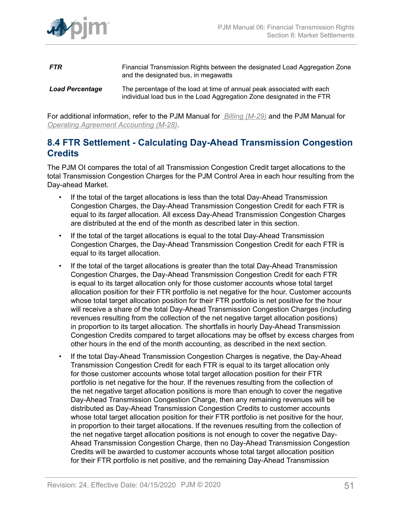

**FTR** Financial Transmission Rights between the designated Load Aggregation Zone and the designated bus, in megawatts *Load Percentage* The percentage of the load at time of annual peak associated with each

individual load bus in the Load Aggregation Zone designated in the FTR

For additional information, refer to the PJM Manual for *[Billing \(M-29\)](http://www.pjm.com/~/media/documents/manuals/m29.ashx)* and the PJM Manual for

*[Operating Agreement Accounting \(M-28\)](http://www.pjm.com/~/media/documents/manuals/m28.ashx)*.

## <span id="page-50-0"></span>**8.4 FTR Settlement - Calculating Day-Ahead Transmission Congestion Credits**

The PJM OI compares the total of all Transmission Congestion Credit target allocations to the total Transmission Congestion Charges for the PJM Control Area in each hour resulting from the Day-ahead Market.

- If the total of the target allocations is less than the total Day-Ahead Transmission Congestion Charges, the Day-Ahead Transmission Congestion Credit for each FTR is equal to its *target* allocation. All excess Day-Ahead Transmission Congestion Charges are distributed at the end of the month as described later in this section.
- If the total of the target allocations is equal to the total Day-Ahead Transmission Congestion Charges, the Day-Ahead Transmission Congestion Credit for each FTR is equal to its target allocation.
- If the total of the target allocations is greater than the total Day-Ahead Transmission Congestion Charges, the Day-Ahead Transmission Congestion Credit for each FTR is equal to its target allocation only for those customer accounts whose total target allocation position for their FTR portfolio is net negative for the hour. Customer accounts whose total target allocation position for their FTR portfolio is net positive for the hour will receive a share of the total Day-Ahead Transmission Congestion Charges (including revenues resulting from the collection of the net negative target allocation positions) in proportion to its target allocation. The shortfalls in hourly Day-Ahead Transmission Congestion Credits compared to target allocations may be offset by excess charges from other hours in the end of the month accounting, as described in the next section.
- If the total Day-Ahead Transmission Congestion Charges is negative, the Day-Ahead Transmission Congestion Credit for each FTR is equal to its target allocation only for those customer accounts whose total target allocation position for their FTR portfolio is net negative for the hour. If the revenues resulting from the collection of the net negative target allocation positions is more than enough to cover the negative Day-Ahead Transmission Congestion Charge, then any remaining revenues will be distributed as Day-Ahead Transmission Congestion Credits to customer accounts whose total target allocation position for their FTR portfolio is net positive for the hour, in proportion to their target allocations. If the revenues resulting from the collection of the net negative target allocation positions is not enough to cover the negative Day-Ahead Transmission Congestion Charge, then no Day-Ahead Transmission Congestion Credits will be awarded to customer accounts whose total target allocation position for their FTR portfolio is net positive, and the remaining Day-Ahead Transmission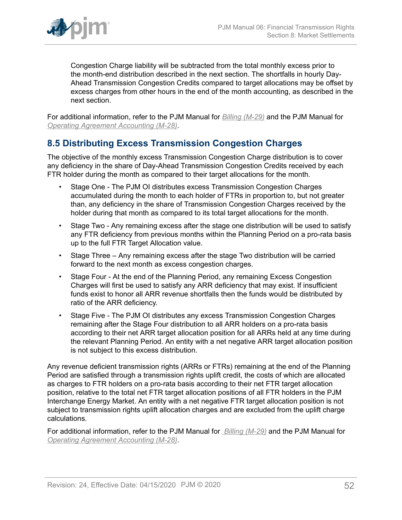

Congestion Charge liability will be subtracted from the total monthly excess prior to the month-end distribution described in the next section. The shortfalls in hourly Day-Ahead Transmission Congestion Credits compared to target allocations may be offset by excess charges from other hours in the end of the month accounting, as described in the next section.

For additional information, refer to the PJM Manual for *[Billing \(M-29\)](http://www.pjm.com/~/media/documents/manuals/m29.ashx)* and the PJM Manual for *[Operating Agreement Accounting \(M-28\)](http://www.pjm.com/~/media/documents/manuals/m28.ashx)*.

## <span id="page-51-0"></span>**8.5 Distributing Excess Transmission Congestion Charges**

The objective of the monthly excess Transmission Congestion Charge distribution is to cover any deficiency in the share of Day-Ahead Transmission Congestion Credits received by each FTR holder during the month as compared to their target allocations for the month.

- Stage One The PJM OI distributes excess Transmission Congestion Charges accumulated during the month to each holder of FTRs in proportion to, but not greater than, any deficiency in the share of Transmission Congestion Charges received by the holder during that month as compared to its total target allocations for the month.
- Stage Two Any remaining excess after the stage one distribution will be used to satisfy any FTR deficiency from previous months within the Planning Period on a pro-rata basis up to the full FTR Target Allocation value.
- Stage Three Any remaining excess after the stage Two distribution will be carried forward to the next month as excess congestion charges.
- Stage Four At the end of the Planning Period, any remaining Excess Congestion Charges will first be used to satisfy any ARR deficiency that may exist. If insufficient funds exist to honor all ARR revenue shortfalls then the funds would be distributed by ratio of the ARR deficiency.
- Stage Five The PJM OI distributes any excess Transmission Congestion Charges remaining after the Stage Four distribution to all ARR holders on a pro-rata basis according to their net ARR target allocation position for all ARRs held at any time during the relevant Planning Period. An entity with a net negative ARR target allocation position is not subject to this excess distribution.

Any revenue deficient transmission rights (ARRs or FTRs) remaining at the end of the Planning Period are satisfied through a transmission rights uplift credit, the costs of which are allocated as charges to FTR holders on a pro-rata basis according to their net FTR target allocation position, relative to the total net FTR target allocation positions of all FTR holders in the PJM Interchange Energy Market. An entity with a net negative FTR target allocation position is not subject to transmission rights uplift allocation charges and are excluded from the uplift charge calculations.

For additional information, refer to the PJM Manual for *[Billing \(M-29\)](http://www.pjm.com/~/media/documents/manuals/m29.ashx)* and the PJM Manual for *[Operating Agreement Accounting \(M-28\)](http://www.pjm.com/~/media/documents/manuals/m28.ashx)*.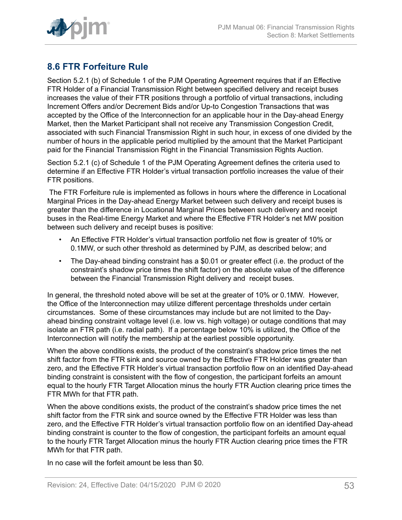

## <span id="page-52-0"></span>**8.6 FTR Forfeiture Rule**

Section 5.2.1 (b) of Schedule 1 of the PJM Operating Agreement requires that if an Effective FTR Holder of a Financial Transmission Right between specified delivery and receipt buses increases the value of their FTR positions through a portfolio of virtual transactions, including Increment Offers and/or Decrement Bids and/or Up-to Congestion Transactions that was accepted by the Office of the Interconnection for an applicable hour in the Day-ahead Energy Market, then the Market Participant shall not receive any Transmission Congestion Credit, associated with such Financial Transmission Right in such hour, in excess of one divided by the number of hours in the applicable period multiplied by the amount that the Market Participant paid for the Financial Transmission Right in the Financial Transmission Rights Auction.

Section 5.2.1 (c) of Schedule 1 of the PJM Operating Agreement defines the criteria used to determine if an Effective FTR Holder's virtual transaction portfolio increases the value of their FTR positions.

The FTR Forfeiture rule is implemented as follows in hours where the difference in Locational Marginal Prices in the Day-ahead Energy Market between such delivery and receipt buses is greater than the difference in Locational Marginal Prices between such delivery and receipt buses in the Real-time Energy Market and where the Effective FTR Holder's net MW position between such delivery and receipt buses is positive:

- An Effective FTR Holder's virtual transaction portfolio net flow is greater of 10% or 0.1MW, or such other threshold as determined by PJM, as described below; and
- The Day-ahead binding constraint has a \$0.01 or greater effect (i.e. the product of the constraint's shadow price times the shift factor) on the absolute value of the difference between the Financial Transmission Right delivery and receipt buses.

In general, the threshold noted above will be set at the greater of 10% or 0.1MW. However, the Office of the Interconnection may utilize different percentage thresholds under certain circumstances. Some of these circumstances may include but are not limited to the Dayahead binding constraint voltage level (i.e. low vs. high voltage) or outage conditions that may isolate an FTR path (i.e. radial path). If a percentage below 10% is utilized, the Office of the Interconnection will notify the membership at the earliest possible opportunity.

When the above conditions exists, the product of the constraint's shadow price times the net shift factor from the FTR sink and source owned by the Effective FTR Holder was greater than zero, and the Effective FTR Holder's virtual transaction portfolio flow on an identified Day-ahead binding constraint is consistent with the flow of congestion, the participant forfeits an amount equal to the hourly FTR Target Allocation minus the hourly FTR Auction clearing price times the FTR MWh for that FTR path.

When the above conditions exists, the product of the constraint's shadow price times the net shift factor from the FTR sink and source owned by the Effective FTR Holder was less than zero, and the Effective FTR Holder's virtual transaction portfolio flow on an identified Day-ahead binding constraint is counter to the flow of congestion, the participant forfeits an amount equal to the hourly FTR Target Allocation minus the hourly FTR Auction clearing price times the FTR MWh for that FTR path.

In no case will the forfeit amount be less than \$0.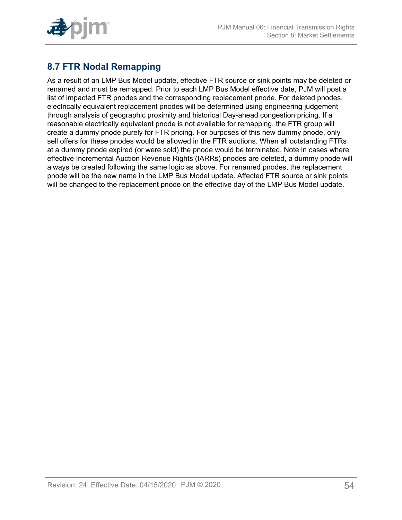

## <span id="page-53-0"></span>**8.7 FTR Nodal Remapping**

As a result of an LMP Bus Model update, effective FTR source or sink points may be deleted or renamed and must be remapped. Prior to each LMP Bus Model effective date, PJM will post a list of impacted FTR pnodes and the corresponding replacement pnode. For deleted pnodes, electrically equivalent replacement pnodes will be determined using engineering judgement through analysis of geographic proximity and historical Day-ahead congestion pricing. If a reasonable electrically equivalent pnode is not available for remapping, the FTR group will create a dummy pnode purely for FTR pricing. For purposes of this new dummy pnode, only sell offers for these pnodes would be allowed in the FTR auctions. When all outstanding FTRs at a dummy pnode expired (or were sold) the pnode would be terminated. Note in cases where effective Incremental Auction Revenue Rights (IARRs) pnodes are deleted, a dummy pnode will always be created following the same logic as above. For renamed pnodes, the replacement pnode will be the new name in the LMP Bus Model update. Affected FTR source or sink points will be changed to the replacement pnode on the effective day of the LMP Bus Model update.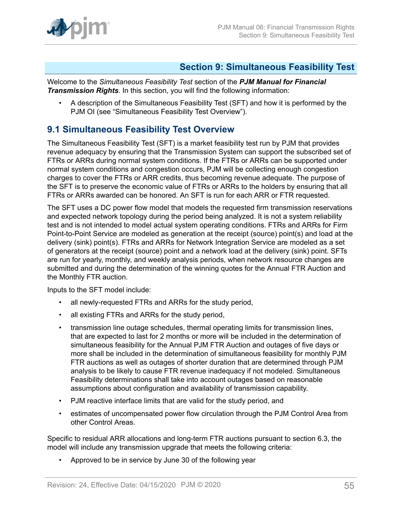

### <span id="page-54-0"></span>**Section 9: Simultaneous Feasibility Test**

Welcome to the *Simultaneous Feasibility Test* section of the *PJM Manual for Financial Transmission Rights*. In this section, you will find the following information:

• A description of the Simultaneous Feasibility Test (SFT) and how it is performed by the PJM OI (see "Simultaneous Feasibility Test Overview").

## <span id="page-54-1"></span>**9.1 Simultaneous Feasibility Test Overview**

The Simultaneous Feasibility Test (SFT) is a market feasibility test run by PJM that provides revenue adequacy by ensuring that the Transmission System can support the subscribed set of FTRs or ARRs during normal system conditions. If the FTRs or ARRs can be supported under normal system conditions and congestion occurs, PJM will be collecting enough congestion charges to cover the FTRs or ARR credits, thus becoming revenue adequate. The purpose of the SFT is to preserve the economic value of FTRs or ARRs to the holders by ensuring that all FTRs or ARRs awarded can be honored. An SFT is run for each ARR or FTR requested.

The SFT uses a DC power flow model that models the requested firm transmission reservations and expected network topology during the period being analyzed. It is not a system reliability test and is not intended to model actual system operating conditions. FTRs and ARRs for Firm Point-to-Point Service are modeled as generation at the receipt (source) point(s) and load at the delivery (sink) point(s). FTRs and ARRs for Network Integration Service are modeled as a set of generators at the receipt (source) point and a network load at the delivery (sink) point. SFTs are run for yearly, monthly, and weekly analysis periods, when network resource changes are submitted and during the determination of the winning quotes for the Annual FTR Auction and the Monthly FTR auction.

Inputs to the SFT model include:

- all newly-requested FTRs and ARRs for the study period,
- all existing FTRs and ARRs for the study period,
- transmission line outage schedules, thermal operating limits for transmission lines, that are expected to last for 2 months or more will be included in the determination of simultaneous feasibility for the Annual PJM FTR Auction and outages of five days or more shall be included in the determination of simultaneous feasibility for monthly PJM FTR auctions as well as outages of shorter duration that are determined through PJM analysis to be likely to cause FTR revenue inadequacy if not modeled. Simultaneous Feasibility determinations shall take into account outages based on reasonable assumptions about configuration and availability of transmission capability.
- PJM reactive interface limits that are valid for the study period, and
- estimates of uncompensated power flow circulation through the PJM Control Area from other Control Areas.

Specific to residual ARR allocations and long-term FTR auctions pursuant to section 6.3, the model will include any transmission upgrade that meets the following criteria:

• Approved to be in service by June 30 of the following year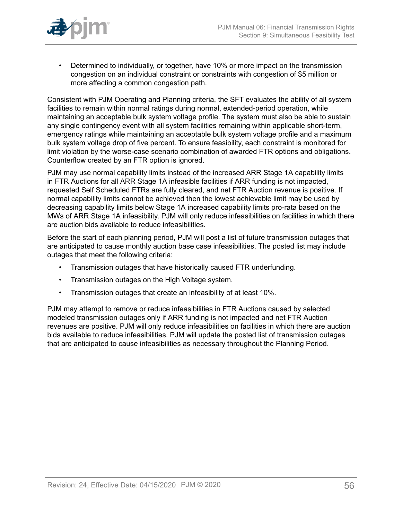

• Determined to individually, or together, have 10% or more impact on the transmission congestion on an individual constraint or constraints with congestion of \$5 million or more affecting a common congestion path.

Consistent with PJM Operating and Planning criteria, the SFT evaluates the ability of all system facilities to remain within normal ratings during normal, extended-period operation, while maintaining an acceptable bulk system voltage profile. The system must also be able to sustain any single contingency event with all system facilities remaining within applicable short-term, emergency ratings while maintaining an acceptable bulk system voltage profile and a maximum bulk system voltage drop of five percent. To ensure feasibility, each constraint is monitored for limit violation by the worse-case scenario combination of awarded FTR options and obligations. Counterflow created by an FTR option is ignored.

PJM may use normal capability limits instead of the increased ARR Stage 1A capability limits in FTR Auctions for all ARR Stage 1A infeasible facilities if ARR funding is not impacted, requested Self Scheduled FTRs are fully cleared, and net FTR Auction revenue is positive. If normal capability limits cannot be achieved then the lowest achievable limit may be used by decreasing capability limits below Stage 1A increased capability limits pro-rata based on the MWs of ARR Stage 1A infeasibility. PJM will only reduce infeasibilities on facilities in which there are auction bids available to reduce infeasibilities.

Before the start of each planning period, PJM will post a list of future transmission outages that are anticipated to cause monthly auction base case infeasibilities. The posted list may include outages that meet the following criteria:

- Transmission outages that have historically caused FTR underfunding.
- Transmission outages on the High Voltage system.
- Transmission outages that create an infeasibility of at least 10%.

PJM may attempt to remove or reduce infeasibilities in FTR Auctions caused by selected modeled transmission outages only if ARR funding is not impacted and net FTR Auction revenues are positive. PJM will only reduce infeasibilities on facilities in which there are auction bids available to reduce infeasibilities. PJM will update the posted list of transmission outages that are anticipated to cause infeasibilities as necessary throughout the Planning Period.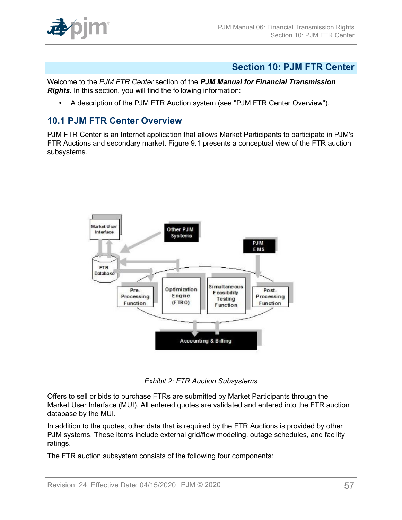

### <span id="page-56-0"></span>**Section 10: PJM FTR Center**

Welcome to the *PJM FTR Center* section of the *PJM Manual for Financial Transmission Rights*. In this section, you will find the following information:

• A description of the PJM FTR Auction system (see "PJM FTR Center Overview").

### <span id="page-56-1"></span>**10.1 PJM FTR Center Overview**

<span id="page-56-2"></span>PJM FTR Center is an Internet application that allows Market Participants to participate in PJM's FTR Auctions and secondary market. Figure 9.1 presents a conceptual view of the FTR auction subsystems.



*Exhibit 2: FTR Auction Subsystems*

Offers to sell or bids to purchase FTRs are submitted by Market Participants through the Market User Interface (MUI). All entered quotes are validated and entered into the FTR auction database by the MUI.

In addition to the quotes, other data that is required by the FTR Auctions is provided by other PJM systems. These items include external grid/flow modeling, outage schedules, and facility ratings.

The FTR auction subsystem consists of the following four components: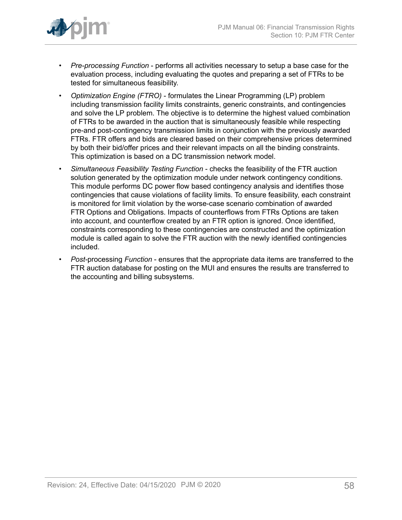

- *Pre-processing Function* performs all activities necessary to setup a base case for the evaluation process, including evaluating the quotes and preparing a set of FTRs to be tested for simultaneous feasibility.
- *Optimization Engine (FTRO)* formulates the Linear Programming (LP) problem including transmission facility limits constraints, generic constraints, and contingencies and solve the LP problem. The objective is to determine the highest valued combination of FTRs to be awarded in the auction that is simultaneously feasible while respecting pre-and post-contingency transmission limits in conjunction with the previously awarded FTRs. FTR offers and bids are cleared based on their comprehensive prices determined by both their bid/offer prices and their relevant impacts on all the binding constraints. This optimization is based on a DC transmission network model.
- *Simultaneous Feasibility Testing Function* checks the feasibility of the FTR auction solution generated by the optimization module under network contingency conditions. This module performs DC power flow based contingency analysis and identifies those contingencies that cause violations of facility limits. To ensure feasibility, each constraint is monitored for limit violation by the worse-case scenario combination of awarded FTR Options and Obligations. Impacts of counterflows from FTRs Options are taken into account, and counterflow created by an FTR option is ignored. Once identified, constraints corresponding to these contingencies are constructed and the optimization module is called again to solve the FTR auction with the newly identified contingencies included.
- *Post-*processing *Function* ensures that the appropriate data items are transferred to the FTR auction database for posting on the MUI and ensures the results are transferred to the accounting and billing subsystems.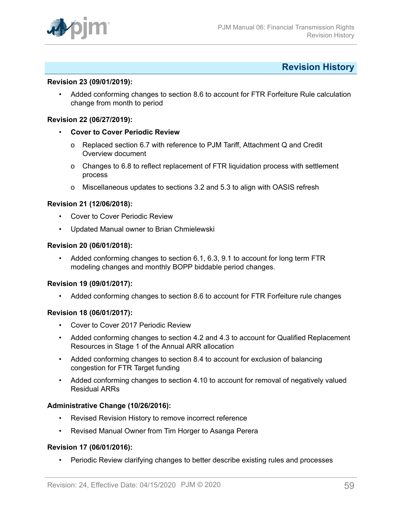

### <span id="page-58-0"></span>**Revision History**

#### **Revision 23 (09/01/2019):**

• Added conforming changes to section 8.6 to account for FTR Forfeiture Rule calculation change from month to period

#### **Revision 22 (06/27/2019):**

- **Cover to Cover Periodic Review**
	- o Replaced section 6.7 with reference to PJM Tariff, Attachment Q and Credit Overview document
	- o Changes to 6.8 to reflect replacement of FTR liquidation process with settlement process
	- o Miscellaneous updates to sections 3.2 and 5.3 to align with OASIS refresh

#### **Revision 21 (12/06/2018):**

- **Cover to Cover Periodic Review**
- Updated Manual owner to Brian Chmielewski

#### **Revision 20 (06/01/2018):**

• Added conforming changes to section 6.1, 6.3, 9.1 to account for long term FTR modeling changes and monthly BOPP biddable period changes.

#### **Revision 19 (09/01/2017):**

• Added conforming changes to section 8.6 to account for FTR Forfeiture rule changes

### **Revision 18 (06/01/2017):**

- Cover to Cover 2017 Periodic Review
- Added conforming changes to section 4.2 and 4.3 to account for Qualified Replacement Resources in Stage 1 of the Annual ARR allocation
- Added conforming changes to section 8.4 to account for exclusion of balancing congestion for FTR Target funding
- Added conforming changes to section 4.10 to account for removal of negatively valued Residual ARRs

#### **Administrative Change (10/26/2016):**

- Revised Revision History to remove incorrect reference
- Revised Manual Owner from Tim Horger to Asanga Perera

#### **Revision 17 (06/01/2016):**

• Periodic Review clarifying changes to better describe existing rules and processes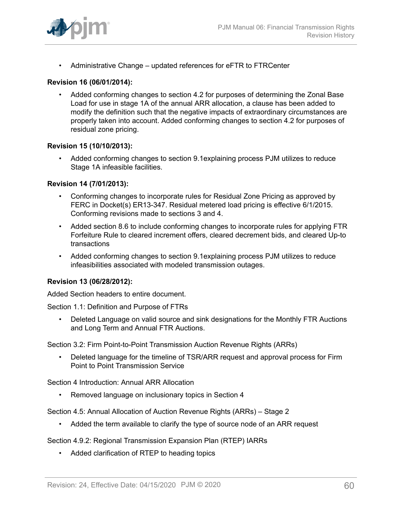

• Administrative Change – updated references for eFTR to FTRCenter

### **Revision 16 (06/01/2014):**

• Added conforming changes to section 4.2 for purposes of determining the Zonal Base Load for use in stage 1A of the annual ARR allocation, a clause has been added to modify the definition such that the negative impacts of extraordinary circumstances are properly taken into account. Added conforming changes to section 4.2 for purposes of residual zone pricing.

### **Revision 15 (10/10/2013):**

• Added conforming changes to section 9.1explaining process PJM utilizes to reduce Stage 1A infeasible facilities.

### **Revision 14 (7/01/2013):**

- Conforming changes to incorporate rules for Residual Zone Pricing as approved by FERC in Docket(s) ER13-347. Residual metered load pricing is effective 6/1/2015. Conforming revisions made to sections 3 and 4.
- Added section 8.6 to include conforming changes to incorporate rules for applying FTR Forfeiture Rule to cleared increment offers, cleared decrement bids, and cleared Up-to transactions
- Added conforming changes to section 9.1explaining process PJM utilizes to reduce infeasibilities associated with modeled transmission outages.

### **Revision 13 (06/28/2012):**

Added Section headers to entire document.

Section 1.1: Definition and Purpose of FTRs

• Deleted Language on valid source and sink designations for the Monthly FTR Auctions and Long Term and Annual FTR Auctions.

Section 3.2: Firm Point-to-Point Transmission Auction Revenue Rights (ARRs)

• Deleted language for the timeline of TSR/ARR request and approval process for Firm Point to Point Transmission Service

Section 4 Introduction: Annual ARR Allocation

• Removed language on inclusionary topics in Section 4

Section 4.5: Annual Allocation of Auction Revenue Rights (ARRs) – Stage 2

• Added the term available to clarify the type of source node of an ARR request

Section 4.9.2: Regional Transmission Expansion Plan (RTEP) IARRs

• Added clarification of RTEP to heading topics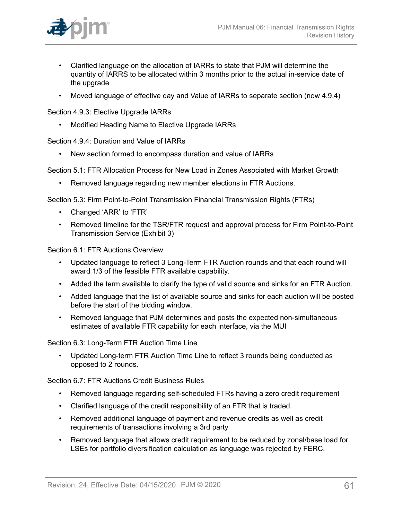

- Clarified language on the allocation of IARRs to state that PJM will determine the quantity of IARRS to be allocated within 3 months prior to the actual in-service date of the upgrade
- Moved language of effective day and Value of IARRs to separate section (now 4.9.4)

Section 4.9.3: Elective Upgrade IARRs

• Modified Heading Name to Elective Upgrade IARRs

Section 4.9.4: Duration and Value of IARRs

• New section formed to encompass duration and value of IARRs

Section 5.1: FTR Allocation Process for New Load in Zones Associated with Market Growth

• Removed language regarding new member elections in FTR Auctions.

Section 5.3: Firm Point-to-Point Transmission Financial Transmission Rights (FTRs)

- Changed 'ARR' to 'FTR'
- Removed timeline for the TSR/FTR request and approval process for Firm Point-to-Point Transmission Service (Exhibit 3)

Section 6.1: FTR Auctions Overview

- Updated language to reflect 3 Long-Term FTR Auction rounds and that each round will award 1/3 of the feasible FTR available capability.
- Added the term available to clarify the type of valid source and sinks for an FTR Auction.
- Added language that the list of available source and sinks for each auction will be posted before the start of the bidding window.
- Removed language that PJM determines and posts the expected non-simultaneous estimates of available FTR capability for each interface, via the MUI

Section 6.3: Long-Term FTR Auction Time Line

Updated Long-term FTR Auction Time Line to reflect 3 rounds being conducted as opposed to 2 rounds.

Section 6.7: FTR Auctions Credit Business Rules

- Removed language regarding self-scheduled FTRs having a zero credit requirement
- Clarified language of the credit responsibility of an FTR that is traded.
- Removed additional language of payment and revenue credits as well as credit requirements of transactions involving a 3rd party
- Removed language that allows credit requirement to be reduced by zonal/base load for LSEs for portfolio diversification calculation as language was rejected by FERC.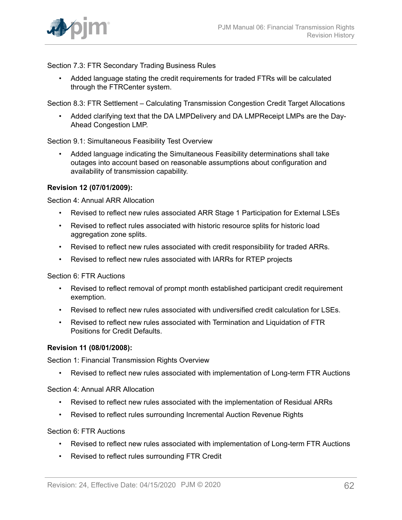

Section 7.3: FTR Secondary Trading Business Rules

• Added language stating the credit requirements for traded FTRs will be calculated through the FTRCenter system.

Section 8.3: FTR Settlement – Calculating Transmission Congestion Credit Target Allocations

• Added clarifying text that the DA LMPDelivery and DA LMPReceipt LMPs are the Day-Ahead Congestion LMP.

Section 9.1: Simultaneous Feasibility Test Overview

• Added language indicating the Simultaneous Feasibility determinations shall take outages into account based on reasonable assumptions about configuration and availability of transmission capability.

#### **Revision 12 (07/01/2009):**

Section 4: Annual ARR Allocation

- Revised to reflect new rules associated ARR Stage 1 Participation for External LSEs
- Revised to reflect rules associated with historic resource splits for historic load aggregation zone splits.
- Revised to reflect new rules associated with credit responsibility for traded ARRs.
- Revised to reflect new rules associated with IARRs for RTEP projects

Section 6: FTR Auctions

- Revised to reflect removal of prompt month established participant credit requirement exemption.
- Revised to reflect new rules associated with undiversified credit calculation for LSEs.
- Revised to reflect new rules associated with Termination and Liquidation of FTR Positions for Credit Defaults.

#### **Revision 11 (08/01/2008):**

Section 1: Financial Transmission Rights Overview

• Revised to reflect new rules associated with implementation of Long-term FTR Auctions

Section 4: Annual ARR Allocation

- Revised to reflect new rules associated with the implementation of Residual ARRs
- Revised to reflect rules surrounding Incremental Auction Revenue Rights

Section 6: FTR Auctions

- Revised to reflect new rules associated with implementation of Long-term FTR Auctions
- Revised to reflect rules surrounding FTR Credit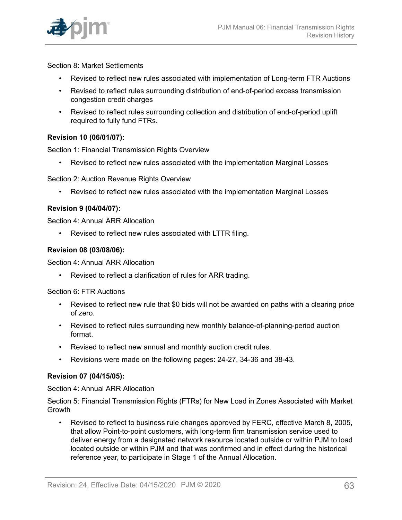

Section 8: Market Settlements

- Revised to reflect new rules associated with implementation of Long-term FTR Auctions
- Revised to reflect rules surrounding distribution of end-of-period excess transmission congestion credit charges
- Revised to reflect rules surrounding collection and distribution of end-of-period uplift required to fully fund FTRs.

### **Revision 10 (06/01/07):**

Section 1: Financial Transmission Rights Overview

• Revised to reflect new rules associated with the implementation Marginal Losses

Section 2: Auction Revenue Rights Overview

• Revised to reflect new rules associated with the implementation Marginal Losses

### **Revision 9 (04/04/07):**

Section 4: Annual ARR Allocation

• Revised to reflect new rules associated with LTTR filing.

#### **Revision 08 (03/08/06):**

Section 4: Annual ARR Allocation

• Revised to reflect a clarification of rules for ARR trading.

Section 6: FTR Auctions

- Revised to reflect new rule that \$0 bids will not be awarded on paths with a clearing price of zero.
- Revised to reflect rules surrounding new monthly balance-of-planning-period auction format.
- Revised to reflect new annual and monthly auction credit rules.
- Revisions were made on the following pages: 24-27, 34-36 and 38-43.

#### **Revision 07 (04/15/05):**

Section 4: Annual ARR Allocation

Section 5: Financial Transmission Rights (FTRs) for New Load in Zones Associated with Market Growth

• Revised to reflect to business rule changes approved by FERC, effective March 8, 2005, that allow Point-to-point customers, with long-term firm transmission service used to deliver energy from a designated network resource located outside or within PJM to load located outside or within PJM and that was confirmed and in effect during the historical reference year, to participate in Stage 1 of the Annual Allocation.